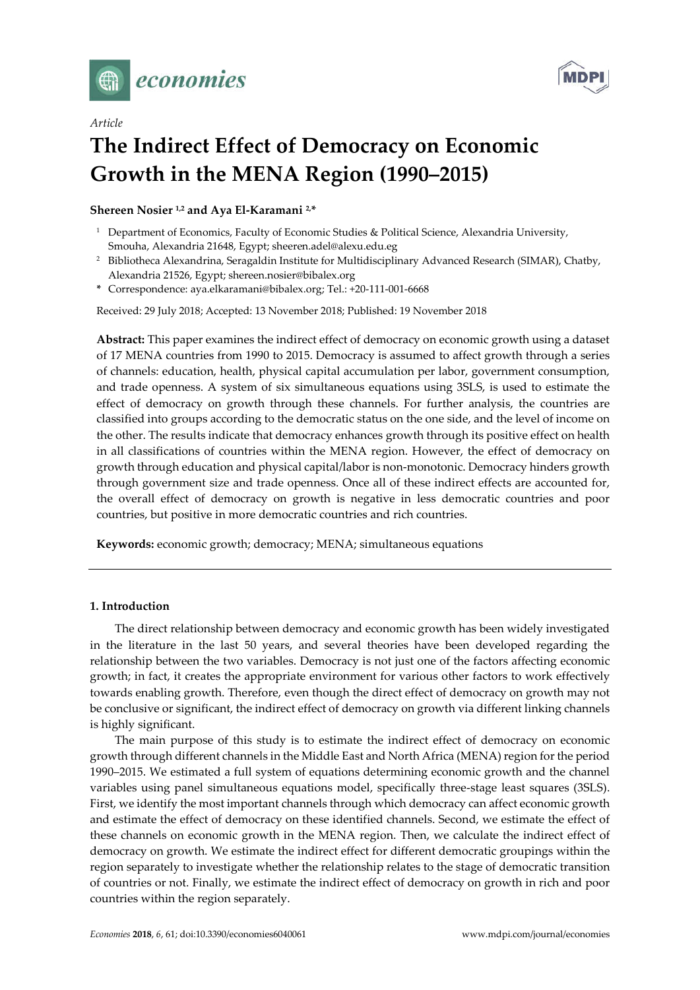

*Article*



# **The Indirect Effect of Democracy on Economic Growth in the MENA Region (1990–2015)**

**Shereen Nosier 1,2 and Aya El-Karamani 2, \***

- <sup>1</sup> Department of Economics, Faculty of Economic Studies & Political Science, Alexandria University, Smouha, Alexandria 21648, Egypt; sheeren.adel@alexu.edu.eg
- <sup>2</sup> Bibliotheca Alexandrina, Seragaldin Institute for Multidisciplinary Advanced Research (SIMAR), Chatby, Alexandria 21526, Egypt; shereen.nosier@bibalex.org
- **\*** Correspondence: aya.elkaramani@bibalex.org; Tel.: +20-111-001-6668

Received: 29 July 2018; Accepted: 13 November 2018; Published: 19 November 2018

**Abstract:** This paper examines the indirect effect of democracy on economic growth using a dataset of 17 MENA countries from 1990 to 2015. Democracy is assumed to affect growth through a series of channels: education, health, physical capital accumulation per labor, government consumption, and trade openness. A system of six simultaneous equations using 3SLS, is used to estimate the effect of democracy on growth through these channels. For further analysis, the countries are classified into groups according to the democratic status on the one side, and the level of income on the other. The results indicate that democracy enhances growth through its positive effect on health in all classifications of countries within the MENA region. However, the effect of democracy on growth through education and physical capital/labor is non-monotonic. Democracy hinders growth through government size and trade openness. Once all of these indirect effects are accounted for, the overall effect of democracy on growth is negative in less democratic countries and poor countries, but positive in more democratic countries and rich countries.

**Keywords:** economic growth; democracy; MENA; simultaneous equations

# **1. Introduction**

The direct relationship between democracy and economic growth has been widely investigated in the literature in the last 50 years, and several theories have been developed regarding the relationship between the two variables. Democracy is not just one of the factors affecting economic growth; in fact, it creates the appropriate environment for various other factors to work effectively towards enabling growth. Therefore, even though the direct effect of democracy on growth may not be conclusive or significant, the indirect effect of democracy on growth via different linking channels is highly significant.

The main purpose of this study is to estimate the indirect effect of democracy on economic growth through different channels in the Middle East and North Africa (MENA) region for the period 1990–2015. We estimated a full system of equations determining economic growth and the channel variables using panel simultaneous equations model, specifically three-stage least squares (3SLS). First, we identify the most important channels through which democracy can affect economic growth and estimate the effect of democracy on these identified channels. Second, we estimate the effect of these channels on economic growth in the MENA region. Then, we calculate the indirect effect of democracy on growth. We estimate the indirect effect for different democratic groupings within the region separately to investigate whether the relationship relates to the stage of democratic transition of countries or not. Finally, we estimate the indirect effect of democracy on growth in rich and poor countries within the region separately.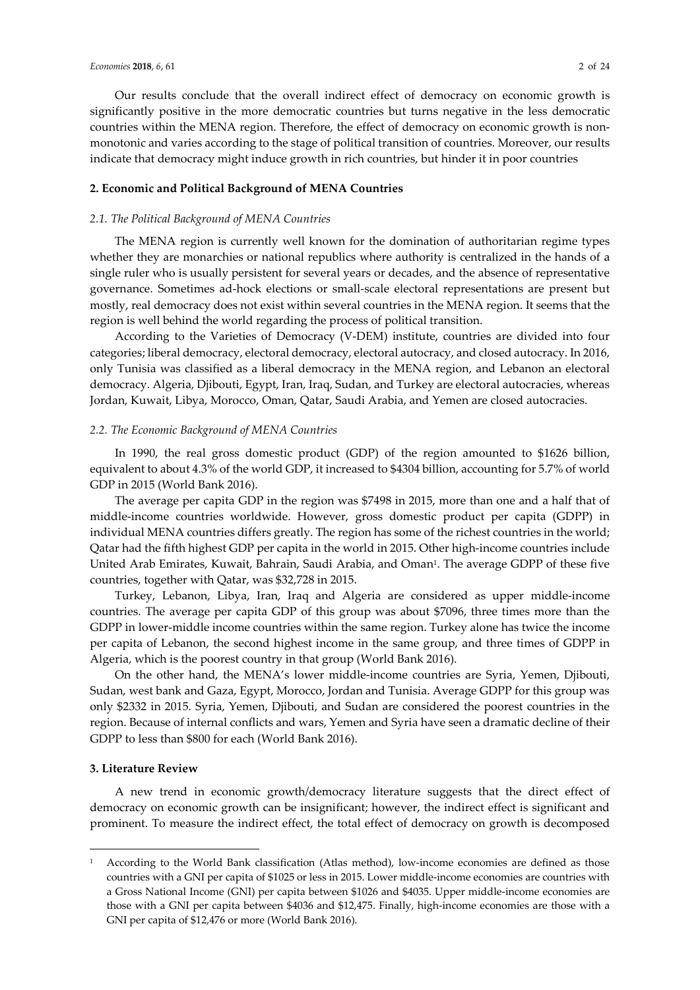Our results conclude that the overall indirect effect of democracy on economic growth is significantly positive in the more democratic countries but turns negative in the less democratic countries within the MENA region. Therefore, the effect of democracy on economic growth is nonmonotonic and varies according to the stage of political transition of countries. Moreover, our results indicate that democracy might induce growth in rich countries, but hinder it in poor countries

# **2. Economic and Political Background of MENA Countries**

## *2.1. The Political Background of MENA Countries*

The MENA region is currently well known for the domination of authoritarian regime types whether they are monarchies or national republics where authority is centralized in the hands of a single ruler who is usually persistent for several years or decades, and the absence of representative governance. Sometimes ad-hock elections or small-scale electoral representations are present but mostly, real democracy does not exist within several countries in the MENA region. It seems that the region is well behind the world regarding the process of political transition.

According to the Varieties of Democracy (V-DEM) institute, countries are divided into four categories; liberal democracy, electoral democracy, electoral autocracy, and closed autocracy. In 2016, only Tunisia was classified as a liberal democracy in the MENA region, and Lebanon an electoral democracy. Algeria, Djibouti, Egypt, Iran, Iraq, Sudan, and Turkey are electoral autocracies, whereas Jordan, Kuwait, Libya, Morocco, Oman, Qatar, Saudi Arabia, and Yemen are closed autocracies.

# *2.2. The Economic Background of MENA Countries*

In 1990, the real gross domestic product (GDP) of the region amounted to \$1626 billion, equivalent to about 4.3% of the world GDP, it increased to \$4304 billion, accounting for 5.7% of world GDP in 2015 (World Bank 2016).

The average per capita GDP in the region was \$7498 in 2015, more than one and a half that of middle-income countries worldwide. However, gross domestic product per capita (GDPP) in individual MENA countries differs greatly. The region has some of the richest countries in the world; Qatar had the fifth highest GDP per capita in the world in 2015. Other high-income countries include United Arab Emirates, Kuwait, Bahrain, Saudi Arabia, and Oman<sup>1</sup>. The average GDPP of these five countries, together with Qatar, was \$32,728 in 2015.

Turkey, Lebanon, Libya, Iran, Iraq and Algeria are considered as upper middle-income countries. The average per capita GDP of this group was about \$7096, three times more than the GDPP in lower-middle income countries within the same region. Turkey alone has twice the income per capita of Lebanon, the second highest income in the same group, and three times of GDPP in Algeria, which is the poorest country in that group (World Bank 2016).

On the other hand, the MENA's lower middle-income countries are Syria, Yemen, Djibouti, Sudan, west bank and Gaza, Egypt, Morocco, Jordan and Tunisia. Average GDPP for this group was only \$2332 in 2015. Syria, Yemen, Djibouti, and Sudan are considered the poorest countries in the region. Because of internal conflicts and wars, Yemen and Syria have seen a dramatic decline of their GDPP to less than \$800 for each (World Bank 2016).

#### **3. Literature Review**

<u>.</u>

A new trend in economic growth/democracy literature suggests that the direct effect of democracy on economic growth can be insignificant; however, the indirect effect is significant and prominent. To measure the indirect effect, the total effect of democracy on growth is decomposed

<sup>1</sup> According to the World Bank classification (Atlas method), low-income economies are defined as those countries with a GNI per capita of \$1025 or less in 2015. Lower middle-income economies are countries with a Gross National Income (GNI) per capita between \$1026 and \$4035. Upper middle-income economies are those with a GNI per capita between \$4036 and \$12,475. Finally, high-income economies are those with a GNI per capita of \$12,476 or more (World Bank 2016).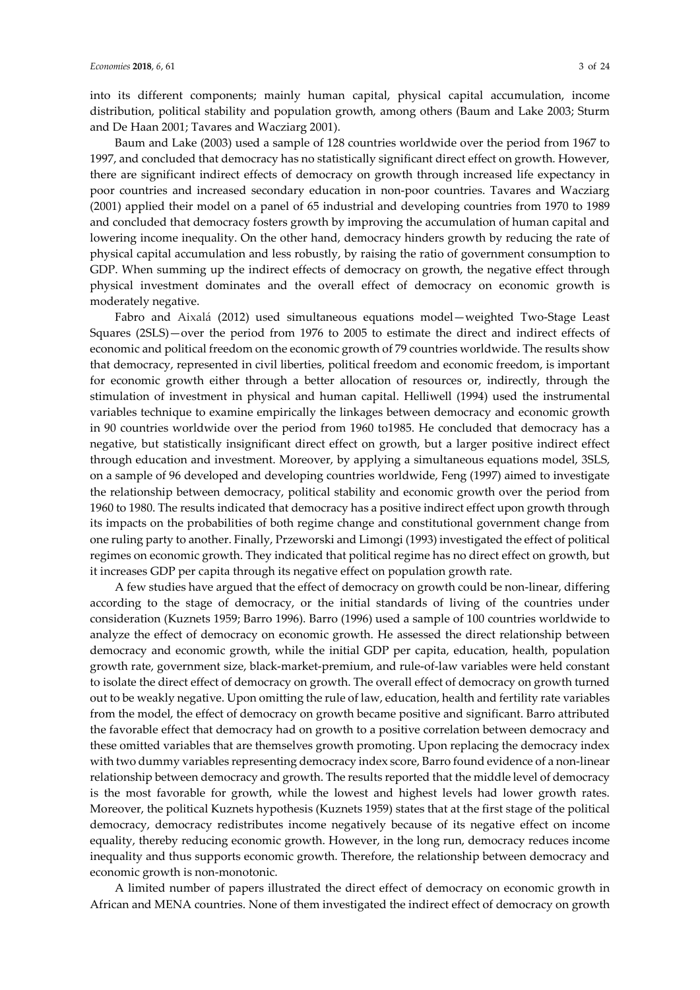into its different components; mainly human capital, physical capital accumulation, income distribution, political stability and population growth, among others (Baum and Lake 2003; Sturm and De Haan 2001; Tavares and Wacziarg 2001).

Baum and Lake (2003) used a sample of 128 countries worldwide over the period from 1967 to 1997, and concluded that democracy has no statistically significant direct effect on growth. However, there are significant indirect effects of democracy on growth through increased life expectancy in poor countries and increased secondary education in non-poor countries. Tavares and Wacziarg (2001) applied their model on a panel of 65 industrial and developing countries from 1970 to 1989 and concluded that democracy fosters growth by improving the accumulation of human capital and lowering income inequality. On the other hand, democracy hinders growth by reducing the rate of physical capital accumulation and less robustly, by raising the ratio of government consumption to GDP. When summing up the indirect effects of democracy on growth, the negative effect through physical investment dominates and the overall effect of democracy on economic growth is moderately negative.

Fabro and Aixalá (2012) used simultaneous equations model—weighted Two-Stage Least Squares (2SLS)—over the period from 1976 to 2005 to estimate the direct and indirect effects of economic and political freedom on the economic growth of 79 countries worldwide. The results show that democracy, represented in civil liberties, political freedom and economic freedom, is important for economic growth either through a better allocation of resources or, indirectly, through the stimulation of investment in physical and human capital. Helliwell (1994) used the instrumental variables technique to examine empirically the linkages between democracy and economic growth in 90 countries worldwide over the period from 1960 to1985. He concluded that democracy has a negative, but statistically insignificant direct effect on growth, but a larger positive indirect effect through education and investment. Moreover, by applying a simultaneous equations model, 3SLS, on a sample of 96 developed and developing countries worldwide, Feng (1997) aimed to investigate the relationship between democracy, political stability and economic growth over the period from 1960 to 1980. The results indicated that democracy has a positive indirect effect upon growth through its impacts on the probabilities of both regime change and constitutional government change from one ruling party to another. Finally, Przeworski and Limongi (1993) investigated the effect of political regimes on economic growth. They indicated that political regime has no direct effect on growth, but it increases GDP per capita through its negative effect on population growth rate.

A few studies have argued that the effect of democracy on growth could be non-linear, differing according to the stage of democracy, or the initial standards of living of the countries under consideration (Kuznets 1959; Barro 1996). Barro (1996) used a sample of 100 countries worldwide to analyze the effect of democracy on economic growth. He assessed the direct relationship between democracy and economic growth, while the initial GDP per capita, education, health, population growth rate, government size, black-market-premium, and rule-of-law variables were held constant to isolate the direct effect of democracy on growth. The overall effect of democracy on growth turned out to be weakly negative. Upon omitting the rule of law, education, health and fertility rate variables from the model, the effect of democracy on growth became positive and significant. Barro attributed the favorable effect that democracy had on growth to a positive correlation between democracy and these omitted variables that are themselves growth promoting. Upon replacing the democracy index with two dummy variables representing democracy index score, Barro found evidence of a non-linear relationship between democracy and growth. The results reported that the middle level of democracy is the most favorable for growth, while the lowest and highest levels had lower growth rates. Moreover, the political Kuznets hypothesis (Kuznets 1959) states that at the first stage of the political democracy, democracy redistributes income negatively because of its negative effect on income equality, thereby reducing economic growth. However, in the long run, democracy reduces income inequality and thus supports economic growth. Therefore, the relationship between democracy and economic growth is non-monotonic.

A limited number of papers illustrated the direct effect of democracy on economic growth in African and MENA countries. None of them investigated the indirect effect of democracy on growth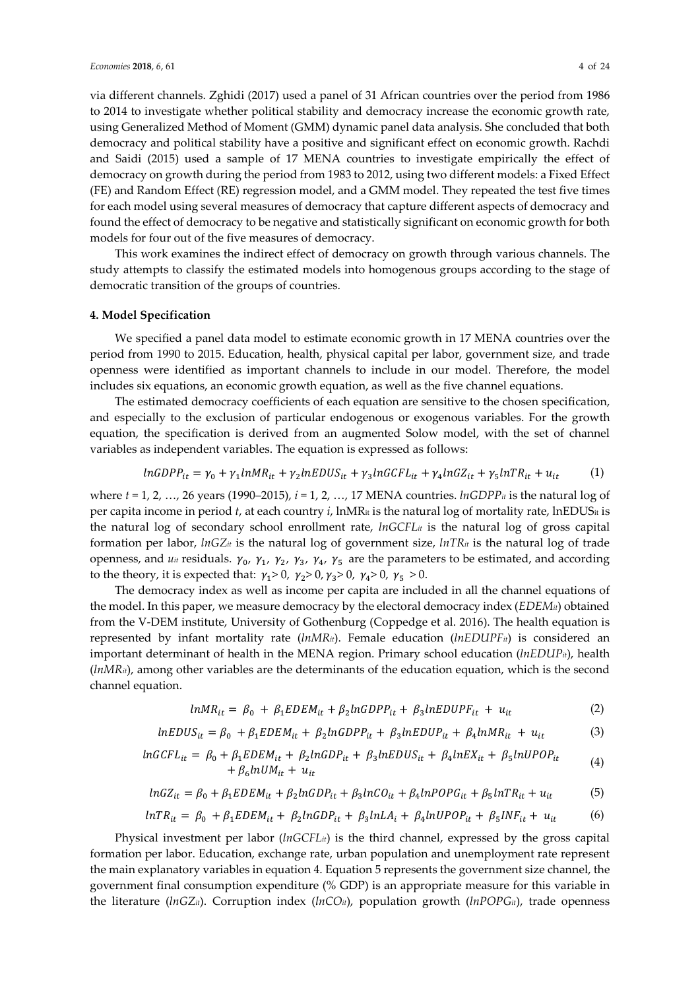using Generalized Method of Moment (GMM) dynamic panel data analysis. She concluded that both democracy and political stability have a positive and significant effect on economic growth. Rachdi and Saidi (2015) used a sample of 17 MENA countries to investigate empirically the effect of democracy on growth during the period from 1983 to 2012, using two different models: a Fixed Effect (FE) and Random Effect (RE) regression model, and a GMM model. They repeated the test five times for each model using several measures of democracy that capture different aspects of democracy and found the effect of democracy to be negative and statistically significant on economic growth for both models for four out of the five measures of democracy.

This work examines the indirect effect of democracy on growth through various channels. The study attempts to classify the estimated models into homogenous groups according to the stage of democratic transition of the groups of countries.

# **4. Model Specification**

We specified a panel data model to estimate economic growth in 17 MENA countries over the period from 1990 to 2015. Education, health, physical capital per labor, government size, and trade openness were identified as important channels to include in our model. Therefore, the model includes six equations, an economic growth equation, as well as the five channel equations.

The estimated democracy coefficients of each equation are sensitive to the chosen specification, and especially to the exclusion of particular endogenous or exogenous variables. For the growth equation, the specification is derived from an augmented Solow model, with the set of channel variables as independent variables. The equation is expressed as follows:

$$
lnGDP_{it} = \gamma_0 + \gamma_1 lnMR_{it} + \gamma_2 lnEDUS_{it} + \gamma_3 lnGCFL_{it} + \gamma_4 lnGZ_{it} + \gamma_5 lnTR_{it} + u_{it}
$$
 (1)

where  $t = 1, 2, ..., 26$  years (1990–2015),  $i = 1, 2, ..., 17$  MENA countries. *lnGDPP<sub>it</sub>* is the natural log of per capita income in period *t*, at each country *i*, lnMR<sub>it</sub> is the natural log of mortality rate, lnEDUS<sub>it</sub> is the natural log of secondary school enrollment rate, *lnGCFLit* is the natural log of gross capital formation per labor,  $lnGZ_{it}$  is the natural log of government size,  $lnTR_{it}$  is the natural log of trade openness, and  $u_{it}$  residuals.  $\gamma_0$ ,  $\gamma_1$ ,  $\gamma_2$ ,  $\gamma_3$ ,  $\gamma_4$ ,  $\gamma_5$  are the parameters to be estimated, and according to the theory, it is expected that:  $\gamma_1 > 0$ ,  $\gamma_2 > 0$ ,  $\gamma_3 > 0$ ,  $\gamma_4 > 0$ ,  $\gamma_5 > 0$ .

The democracy index as well as income per capita are included in all the channel equations of the model. In this paper, we measure democracy by the electoral democracy index (*EDEMit*) obtained from the V-DEM institute, University of Gothenburg (Coppedge et al. 2016). The health equation is represented by infant mortality rate (*lnMRit*). Female education (*lnEDUPFit*) is considered an important determinant of health in the MENA region. Primary school education (*lnEDUP<sub>it</sub>*), health (*lnMRit*), among other variables are the determinants of the education equation, which is the second channel equation.

$$
lnMR_{it} = \beta_0 + \beta_1 EDEM_{it} + \beta_2 lnGDP_{it} + \beta_3 lnEDUPF_{it} + u_{it}
$$
 (2)

$$
lnEDUS_{it} = \beta_0 + \beta_1 EDEM_{it} + \beta_2 lnGDP_{it} + \beta_3 lnEDUP_{it} + \beta_4 lnMR_{it} + u_{it}
$$
 (3)

$$
lnGCFL_{it} = \beta_0 + \beta_1 EDEM_{it} + \beta_2 lnGDP_{it} + \beta_3 lnEDUS_{it} + \beta_4 lnEX_{it} + \beta_5 lnUPOP_{it}
$$
  
+  $\beta_6 lnUM_{it} + u_{it}$  (4)

$$
lnGZ_{it} = \beta_0 + \beta_1 EDEM_{it} + \beta_2 lnGDP_{it} + \beta_3 lnCO_{it} + \beta_4 lnPOPG_{it} + \beta_5 lnTR_{it} + u_{it}
$$
 (5)

$$
lnTR_{it} = \beta_0 + \beta_1 EDEM_{it} + \beta_2 lnGDP_{it} + \beta_3 lnLA_i + \beta_4 lnUPOP_{it} + \beta_5 INF_{it} + u_{it}
$$
 (6)

Physical investment per labor (*lnGCFL<sub>it</sub>*) is the third channel, expressed by the gross capital formation per labor. Education, exchange rate, urban population and unemployment rate represent the main explanatory variables in equation 4. Equation 5 represents the government size channel, the government final consumption expenditure (% GDP) is an appropriate measure for this variable in the literature (*lnGZit*). Corruption index (*lnCOit*), population growth (*lnPOPGit*), trade openness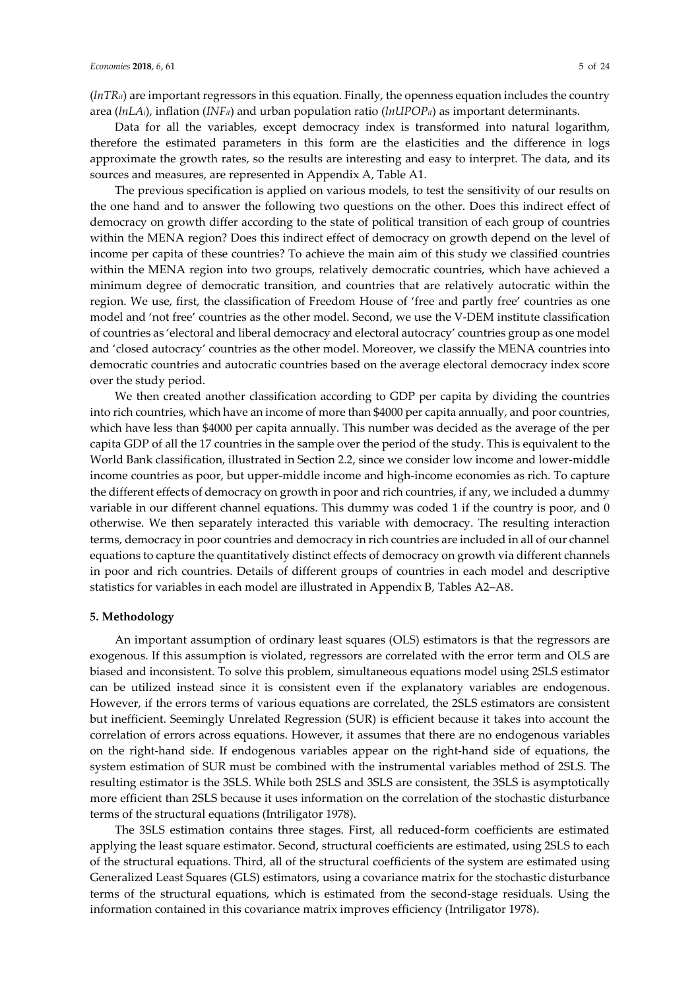(*lnTRit*) are important regressors in this equation. Finally, the openness equation includes the country area (*lnLAi*), inflation (*INFit*) and urban population ratio (*lnUPOPit*) as important determinants.

Data for all the variables, except democracy index is transformed into natural logarithm, therefore the estimated parameters in this form are the elasticities and the difference in logs approximate the growth rates, so the results are interesting and easy to interpret. The data, and its sources and measures, are represented in Appendix A, Table A1.

The previous specification is applied on various models, to test the sensitivity of our results on the one hand and to answer the following two questions on the other. Does this indirect effect of democracy on growth differ according to the state of political transition of each group of countries within the MENA region? Does this indirect effect of democracy on growth depend on the level of income per capita of these countries? To achieve the main aim of this study we classified countries within the MENA region into two groups, relatively democratic countries, which have achieved a minimum degree of democratic transition, and countries that are relatively autocratic within the region. We use, first, the classification of Freedom House of 'free and partly free' countries as one model and 'not free' countries as the other model. Second, we use the V-DEM institute classification of countries as 'electoral and liberal democracy and electoral autocracy' countries group as one model and 'closed autocracy' countries as the other model. Moreover, we classify the MENA countries into democratic countries and autocratic countries based on the average electoral democracy index score over the study period.

We then created another classification according to GDP per capita by dividing the countries into rich countries, which have an income of more than \$4000 per capita annually, and poor countries, which have less than \$4000 per capita annually. This number was decided as the average of the per capita GDP of all the 17 countries in the sample over the period of the study. This is equivalent to the World Bank classification, illustrated in Section 2.2, since we consider low income and lower-middle income countries as poor, but upper-middle income and high-income economies as rich. To capture the different effects of democracy on growth in poor and rich countries, if any, we included a dummy variable in our different channel equations. This dummy was coded 1 if the country is poor, and 0 otherwise. We then separately interacted this variable with democracy. The resulting interaction terms, democracy in poor countries and democracy in rich countries are included in all of our channel equations to capture the quantitatively distinct effects of democracy on growth via different channels in poor and rich countries. Details of different groups of countries in each model and descriptive statistics for variables in each model are illustrated in Appendix B, Tables A2–A8.

#### **5. Methodology**

An important assumption of ordinary least squares (OLS) estimators is that the regressors are exogenous. If this assumption is violated, regressors are correlated with the error term and OLS are biased and inconsistent. To solve this problem, simultaneous equations model using 2SLS estimator can be utilized instead since it is consistent even if the explanatory variables are endogenous. However, if the errors terms of various equations are correlated, the 2SLS estimators are consistent but inefficient. Seemingly Unrelated Regression (SUR) is efficient because it takes into account the correlation of errors across equations. However, it assumes that there are no endogenous variables on the right-hand side. If endogenous variables appear on the right-hand side of equations, the system estimation of SUR must be combined with the instrumental variables method of 2SLS. The resulting estimator is the 3SLS. While both 2SLS and 3SLS are consistent, the 3SLS is asymptotically more efficient than 2SLS because it uses information on the correlation of the stochastic disturbance terms of the structural equations (Intriligator 1978).

The 3SLS estimation contains three stages. First, all reduced-form coefficients are estimated applying the least square estimator. Second, structural coefficients are estimated, using 2SLS to each of the structural equations. Third, all of the structural coefficients of the system are estimated using Generalized Least Squares (GLS) estimators, using a covariance matrix for the stochastic disturbance terms of the structural equations, which is estimated from the second-stage residuals. Using the information contained in this covariance matrix improves efficiency (Intriligator 1978).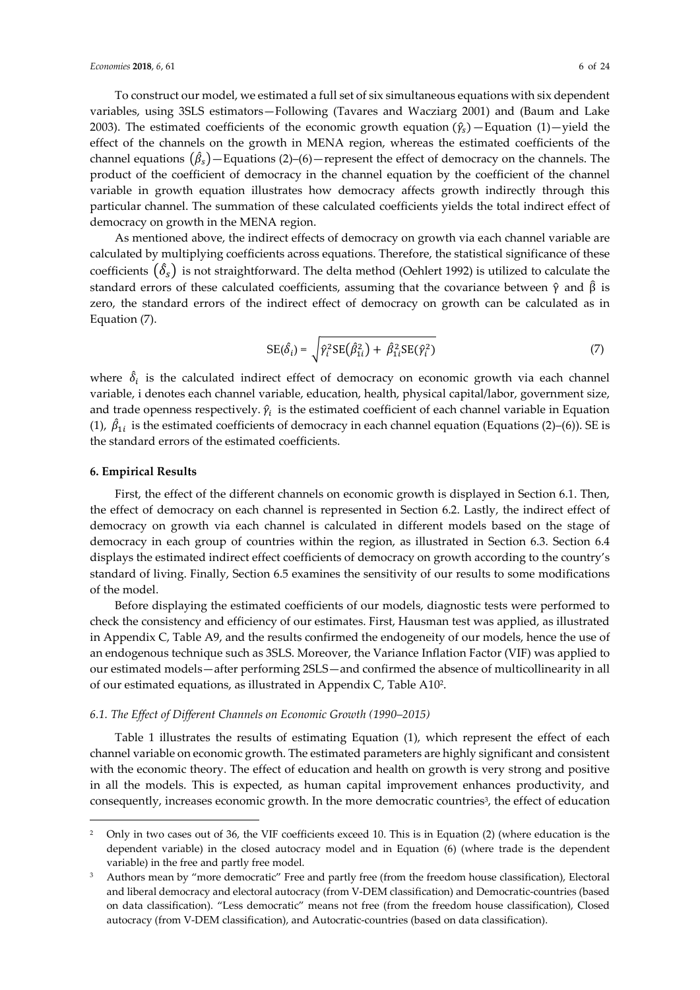To construct our model, we estimated a full set of six simultaneous equations with six dependent variables, using 3SLS estimators—Following (Tavares and Wacziarg 2001) and (Baum and Lake 2003). The estimated coefficients of the economic growth equation  $(\hat{\gamma}_s)$  - Equation (1) - yield the effect of the channels on the growth in MENA region, whereas the estimated coefficients of the channel equations  $(\hat{\beta}_s)$  - Equations (2)–(6) - represent the effect of democracy on the channels. The product of the coefficient of democracy in the channel equation by the coefficient of the channel variable in growth equation illustrates how democracy affects growth indirectly through this particular channel. The summation of these calculated coefficients yields the total indirect effect of democracy on growth in the MENA region.

As mentioned above, the indirect effects of democracy on growth via each channel variable are calculated by multiplying coefficients across equations. Therefore, the statistical significance of these coefficients  $(\hat{\delta}_s)$  is not straightforward. The delta method (Oehlert 1992) is utilized to calculate the standard errors of these calculated coefficients, assuming that the covariance between  $\hat{\gamma}$  and  $\hat{\beta}$  is zero, the standard errors of the indirect effect of democracy on growth can be calculated as in Equation (7).

SE(
$$
\hat{\delta}_i
$$
) =  $\sqrt{\hat{\gamma}_i^2 \text{SE}(\hat{\beta}_{1i}^2) + \hat{\beta}_{1i}^2 \text{SE}(\hat{\gamma}_i^2)}$  (7)

where  $\delta_i$  is the calculated indirect effect of democracy on economic growth via each channel variable, i denotes each channel variable, education, health, physical capital/labor, government size, and trade openness respectively.  $\hat{\gamma}_i$  is the estimated coefficient of each channel variable in Equation (1),  $\hat{\beta}_{1i}$  is the estimated coefficients of democracy in each channel equation (Equations (2)–(6)). SE is the standard errors of the estimated coefficients.

#### **6. Empirical Results**

-

First, the effect of the different channels on economic growth is displayed in Section 6.1. Then, the effect of democracy on each channel is represented in Section 6.2. Lastly, the indirect effect of democracy on growth via each channel is calculated in different models based on the stage of democracy in each group of countries within the region, as illustrated in Section 6.3. Section 6.4 displays the estimated indirect effect coefficients of democracy on growth according to the country's standard of living. Finally, Section 6.5 examines the sensitivity of our results to some modifications of the model.

Before displaying the estimated coefficients of our models, diagnostic tests were performed to check the consistency and efficiency of our estimates. First, Hausman test was applied, as illustrated in Appendix C, Table A9, and the results confirmed the endogeneity of our models, hence the use of an endogenous technique such as 3SLS. Moreover, the Variance Inflation Factor (VIF) was applied to our estimated models—after performing 2SLS—and confirmed the absence of multicollinearity in all of our estimated equations, as illustrated in Appendix C, Table A102.

# *6.1. The Effect of Different Channels on Economic Growth (1990–2015)*

Table 1 illustrates the results of estimating Equation (1), which represent the effect of each channel variable on economic growth. The estimated parameters are highly significant and consistent with the economic theory. The effect of education and health on growth is very strong and positive in all the models. This is expected, as human capital improvement enhances productivity, and consequently, increases economic growth. In the more democratic countries<sup>3</sup>, the effect of education

<sup>&</sup>lt;sup>2</sup> Only in two cases out of 36, the VIF coefficients exceed 10. This is in Equation (2) (where education is the dependent variable) in the closed autocracy model and in Equation (6) (where trade is the dependent variable) in the free and partly free model.

<sup>&</sup>lt;sup>3</sup> Authors mean by "more democratic" Free and partly free (from the freedom house classification), Electoral and liberal democracy and electoral autocracy (from V-DEM classification) and Democratic-countries (based on data classification). "Less democratic" means not free (from the freedom house classification), Closed autocracy (from V-DEM classification), and Autocratic-countries (based on data classification).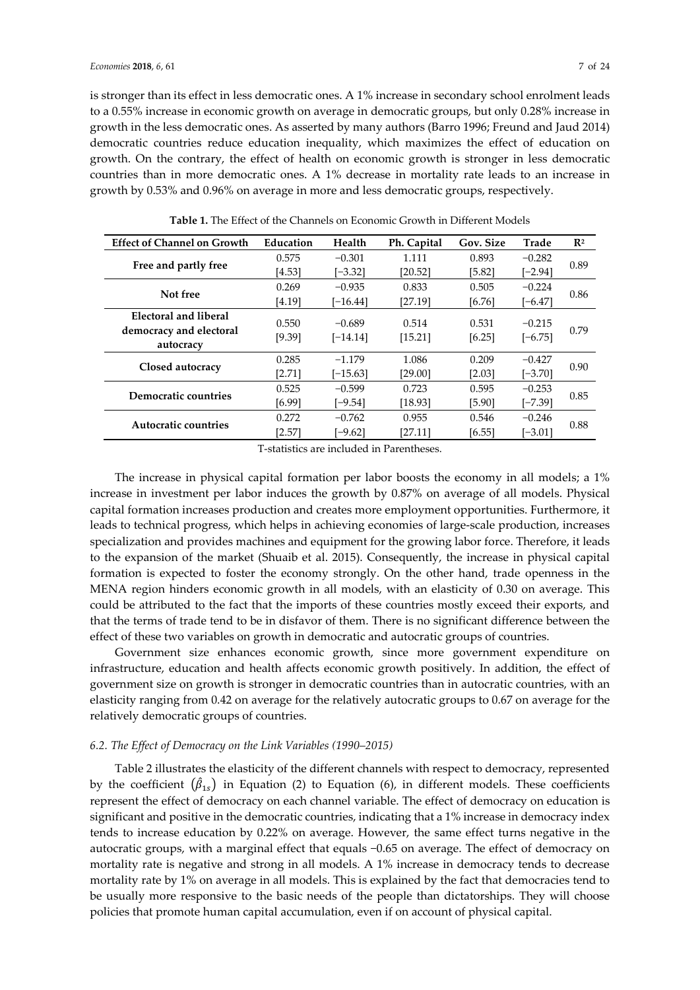is stronger than its effect in less democratic ones. A 1% increase in secondary school enrolment leads to a 0.55% increase in economic growth on average in democratic groups, but only 0.28% increase in growth in the less democratic ones. As asserted by many authors (Barro 1996; Freund and Jaud 2014) democratic countries reduce education inequality, which maximizes the effect of education on growth. On the contrary, the effect of health on economic growth is stronger in less democratic countries than in more democratic ones. A 1% decrease in mortality rate leads to an increase in growth by 0.53% and 0.96% on average in more and less democratic groups, respectively.

| <b>Effect of Channel on Growth</b>   | Education | Health     | Ph. Capital | Gov. Size | Trade     | $\mathbb{R}^2$ |
|--------------------------------------|-----------|------------|-------------|-----------|-----------|----------------|
|                                      | 0.575     | $-0.301$   | 1.111       | 0.893     | $-0.282$  | 0.89           |
| Free and partly free                 | [4.53]    | $[-3.32]$  | [20.52]     | [5.82]    | $[-2.94]$ |                |
| Not free                             | 0.269     | $-0.935$   | 0.833       | 0.505     | $-0.224$  | 0.86           |
|                                      | [4.19]    | [–16.44]   | [27.19]     | [6.76]    | [–6.47]   |                |
| Electoral and liberal                | 0.550     | $-0.689$   | 0.514       | 0.531     | $-0.215$  |                |
| democracy and electoral<br>autocracy | [9.39]    | $[-14.14]$ | [15.21]     | [6.25]    | $[-6.75]$ | 0.79           |
|                                      | 0.285     | $-1.179$   | 1.086       | 0.209     | $-0.427$  | 0.90           |
| Closed autocracy                     | [2.71]    | $[-15.63]$ | [29.00]     | [2.03]    | $[-3.70]$ |                |
| Democratic countries                 | 0.525     | $-0.599$   | 0.723       | 0.595     | $-0.253$  | 0.85           |
|                                      | [6.99]    | $[-9.54]$  | [18.93]     | [5.90]    | [–7.39]   |                |
| Autocratic countries                 | 0.272     | $-0.762$   | 0.955       | 0.546     | $-0.246$  | 0.88           |
|                                      | [2.57]    | $[-9.62]$  | [27.11]     | [6.55]    | $[-3.01]$ |                |

**Table 1.** The Effect of the Channels on Economic Growth in Different Models

T-statistics are included in Parentheses.

The increase in physical capital formation per labor boosts the economy in all models; a 1% increase in investment per labor induces the growth by 0.87% on average of all models. Physical capital formation increases production and creates more employment opportunities. Furthermore, it leads to technical progress, which helps in achieving economies of large-scale production, increases specialization and provides machines and equipment for the growing labor force. Therefore, it leads to the expansion of the market (Shuaib et al. 2015). Consequently, the increase in physical capital formation is expected to foster the economy strongly. On the other hand, trade openness in the MENA region hinders economic growth in all models, with an elasticity of 0.30 on average. This could be attributed to the fact that the imports of these countries mostly exceed their exports, and that the terms of trade tend to be in disfavor of them. There is no significant difference between the effect of these two variables on growth in democratic and autocratic groups of countries.

Government size enhances economic growth, since more government expenditure on infrastructure, education and health affects economic growth positively. In addition, the effect of government size on growth is stronger in democratic countries than in autocratic countries, with an elasticity ranging from 0.42 on average for the relatively autocratic groups to 0.67 on average for the relatively democratic groups of countries.

# *6.2. The Effect of Democracy on the Link Variables (1990–2015)*

Table 2 illustrates the elasticity of the different channels with respect to democracy, represented by the coefficient  $(\hat{\beta}_{1s})$  in Equation (2) to Equation (6), in different models. These coefficients represent the effect of democracy on each channel variable. The effect of democracy on education is significant and positive in the democratic countries, indicating that a 1% increase in democracy index tends to increase education by 0.22% on average. However, the same effect turns negative in the autocratic groups, with a marginal effect that equals −0.65 on average. The effect of democracy on mortality rate is negative and strong in all models. A 1% increase in democracy tends to decrease mortality rate by 1% on average in all models. This is explained by the fact that democracies tend to be usually more responsive to the basic needs of the people than dictatorships. They will choose policies that promote human capital accumulation, even if on account of physical capital.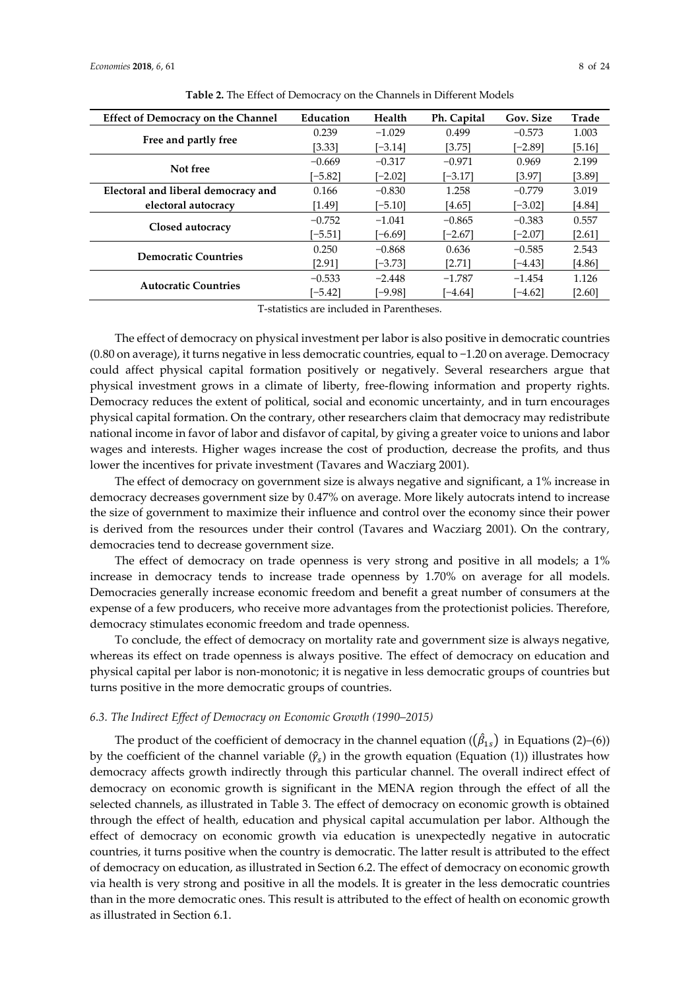| 0.499<br>1.003<br>0.239<br>$-1.029$<br>$-0.573$<br>Free and partly free<br>[3.33]<br>$[-3.14]$<br>[3.75]<br>[–2.89]<br>[5.16]<br>0.969<br>2.199<br>$-0.669$<br>$-0.971$<br>$-0.317$<br>Not free<br>[3.89]<br>$[-5.82]$<br>$[-2.02]$<br>$[-3.17]$<br>[3.97] | <b>Effect of Democracy on the Channel</b> | Education | Health   | Ph. Capital | Gov. Size | Trade |
|------------------------------------------------------------------------------------------------------------------------------------------------------------------------------------------------------------------------------------------------------------|-------------------------------------------|-----------|----------|-------------|-----------|-------|
|                                                                                                                                                                                                                                                            |                                           |           |          |             |           |       |
|                                                                                                                                                                                                                                                            |                                           |           |          |             |           |       |
|                                                                                                                                                                                                                                                            |                                           |           |          |             |           |       |
|                                                                                                                                                                                                                                                            |                                           |           |          |             |           |       |
|                                                                                                                                                                                                                                                            | Electoral and liberal democracy and       | 0.166     | $-0.830$ | 1.258       | $-0.779$  | 3.019 |
| electoral autocracy<br>[4.84]<br>[1.49]<br>$[-5.10]$<br>[4.65]<br>$[-3.02]$                                                                                                                                                                                |                                           |           |          |             |           |       |
| $-0.752$<br>$-1.041$<br>$-0.865$<br>$-0.383$<br>0.557<br>Closed autocracy                                                                                                                                                                                  |                                           |           |          |             |           |       |
| $[-5.51]$<br>$[-2.67]$<br>$[-2.07]$<br>[2.61]<br>$[-6.69]$                                                                                                                                                                                                 |                                           |           |          |             |           |       |
| 0.250<br>0.636<br>2.543<br>$-0.868$<br>$-0.585$<br><b>Democratic Countries</b>                                                                                                                                                                             |                                           |           |          |             |           |       |
| [2.91]<br>[2.71]<br>[4.86]<br>$[-3.73]$<br>$[-4.43]$                                                                                                                                                                                                       |                                           |           |          |             |           |       |
| $-0.533$<br>$-2.448$<br>$-1.787$<br>1.126<br>$-1.454$<br><b>Autocratic Countries</b>                                                                                                                                                                       |                                           |           |          |             |           |       |
| $[-5.42]$<br>[–9.98]<br>$[-4.64]$<br>[2.60]<br>[-4.62]                                                                                                                                                                                                     |                                           |           |          |             |           |       |

**Table 2.** The Effect of Democracy on the Channels in Different Models

The effect of democracy on physical investment per labor is also positive in democratic countries (0.80 on average), it turns negative in less democratic countries, equal to −1.20 on average. Democracy could affect physical capital formation positively or negatively. Several researchers argue that physical investment grows in a climate of liberty, free-flowing information and property rights. Democracy reduces the extent of political, social and economic uncertainty, and in turn encourages physical capital formation. On the contrary, other researchers claim that democracy may redistribute national income in favor of labor and disfavor of capital, by giving a greater voice to unions and labor wages and interests. Higher wages increase the cost of production, decrease the profits, and thus lower the incentives for private investment (Tavares and Wacziarg 2001).

The effect of democracy on government size is always negative and significant, a 1% increase in democracy decreases government size by 0.47% on average. More likely autocrats intend to increase the size of government to maximize their influence and control over the economy since their power is derived from the resources under their control (Tavares and Wacziarg 2001). On the contrary, democracies tend to decrease government size.

The effect of democracy on trade openness is very strong and positive in all models; a 1% increase in democracy tends to increase trade openness by 1.70% on average for all models. Democracies generally increase economic freedom and benefit a great number of consumers at the expense of a few producers, who receive more advantages from the protectionist policies. Therefore, democracy stimulates economic freedom and trade openness.

To conclude, the effect of democracy on mortality rate and government size is always negative, whereas its effect on trade openness is always positive. The effect of democracy on education and physical capital per labor is non-monotonic; it is negative in less democratic groups of countries but turns positive in the more democratic groups of countries.

#### *6.3. The Indirect Effect of Democracy on Economic Growth (1990–2015)*

The product of the coefficient of democracy in the channel equation ( $(\hat{\beta}_{1s})$  in Equations (2)–(6)) by the coefficient of the channel variable  $(\hat{\gamma}_s)$  in the growth equation (Equation (1)) illustrates how democracy affects growth indirectly through this particular channel. The overall indirect effect of democracy on economic growth is significant in the MENA region through the effect of all the selected channels, as illustrated in Table 3. The effect of democracy on economic growth is obtained through the effect of health, education and physical capital accumulation per labor. Although the effect of democracy on economic growth via education is unexpectedly negative in autocratic countries, it turns positive when the country is democratic. The latter result is attributed to the effect of democracy on education, as illustrated in Section 6.2. The effect of democracy on economic growth via health is very strong and positive in all the models. It is greater in the less democratic countries than in the more democratic ones. This result is attributed to the effect of health on economic growth as illustrated in Section 6.1.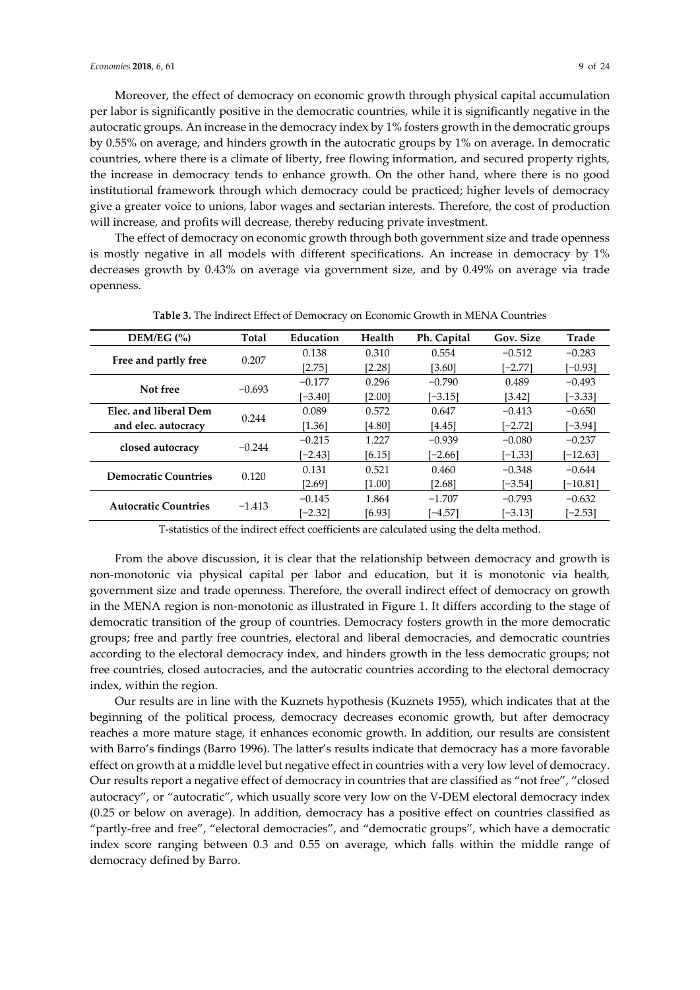Moreover, the effect of democracy on economic growth through physical capital accumulation per labor is significantly positive in the democratic countries, while it is significantly negative in the autocratic groups. An increase in the democracy index by 1% fosters growth in the democratic groups by 0.55% on average, and hinders growth in the autocratic groups by 1% on average. In democratic countries, where there is a climate of liberty, free flowing information, and secured property rights, the increase in democracy tends to enhance growth. On the other hand, where there is no good institutional framework through which democracy could be practiced; higher levels of democracy give a greater voice to unions, labor wages and sectarian interests. Therefore, the cost of production will increase, and profits will decrease, thereby reducing private investment.

The effect of democracy on economic growth through both government size and trade openness is mostly negative in all models with different specifications. An increase in democracy by 1% decreases growth by 0.43% on average via government size, and by 0.49% on average via trade openness.

| DEM/EG (%)                  | Total    | Education | Health | Ph. Capital | Gov. Size | Trade      |
|-----------------------------|----------|-----------|--------|-------------|-----------|------------|
| Free and partly free        | 0.207    | 0.138     | 0.310  | 0.554       | $-0.512$  | $-0.283$   |
|                             |          | [2.75]    | [2.28] | [3.60]      | $[-2.77]$ | $[-0.93]$  |
| Not free                    | $-0.693$ | $-0.177$  | 0.296  | $-0.790$    | 0.489     | $-0.493$   |
|                             |          | [–3.40]   | [2.00] | [–3.15]     | [3.42]    | [-3.33]    |
| Elec. and liberal Dem       | 0.244    | 0.089     | 0.572  | 0.647       | $-0.413$  | $-0.650$   |
| and elec. autocracy         |          | [1.36]    | [4.80] | [4.45]      | $[-2.72]$ | $[-3.94]$  |
|                             | $-0.244$ | $-0.215$  | 1.227  | $-0.939$    | $-0.080$  | $-0.237$   |
| closed autocracy            |          | $[-2.43]$ | [6.15] | $[-2.66]$   | $[-1.33]$ | $[-12.63]$ |
| <b>Democratic Countries</b> |          | 0.131     | 0.521  | 0.460       | $-0.348$  | $-0.644$   |
|                             | 0.120    | [2.69]    | [1.00] | [2.68]      | $[-3.54]$ | $[-10.81]$ |
| <b>Autocratic Countries</b> |          | $-0.145$  | 1.864  | $-1.707$    | $-0.793$  | $-0.632$   |
|                             | $-1.413$ | $[-2.32]$ | [6.93] | $[-4.57]$   | $[-3.13]$ | [–2.53]    |

**Table 3.** The Indirect Effect of Democracy on Economic Growth in MENA Countries

T-statistics of the indirect effect coefficients are calculated using the delta method.

From the above discussion, it is clear that the relationship between democracy and growth is non-monotonic via physical capital per labor and education, but it is monotonic via health, government size and trade openness. Therefore, the overall indirect effect of democracy on growth in the MENA region is non-monotonic as illustrated in Figure 1. It differs according to the stage of democratic transition of the group of countries. Democracy fosters growth in the more democratic groups; free and partly free countries, electoral and liberal democracies, and democratic countries according to the electoral democracy index, and hinders growth in the less democratic groups; not free countries, closed autocracies, and the autocratic countries according to the electoral democracy index, within the region.

Our results are in line with the Kuznets hypothesis (Kuznets 1955), which indicates that at the beginning of the political process, democracy decreases economic growth, but after democracy reaches a more mature stage, it enhances economic growth. In addition, our results are consistent with Barro's findings (Barro 1996). The latter's results indicate that democracy has a more favorable effect on growth at a middle level but negative effect in countries with a very low level of democracy. Our results report a negative effect of democracy in countries that are classified as "not free", "closed autocracy", or "autocratic", which usually score very low on the V-DEM electoral democracy index (0.25 or below on average). In addition, democracy has a positive effect on countries classified as "partly-free and free", "electoral democracies", and "democratic groups", which have a democratic index score ranging between 0.3 and 0.55 on average, which falls within the middle range of democracy defined by Barro.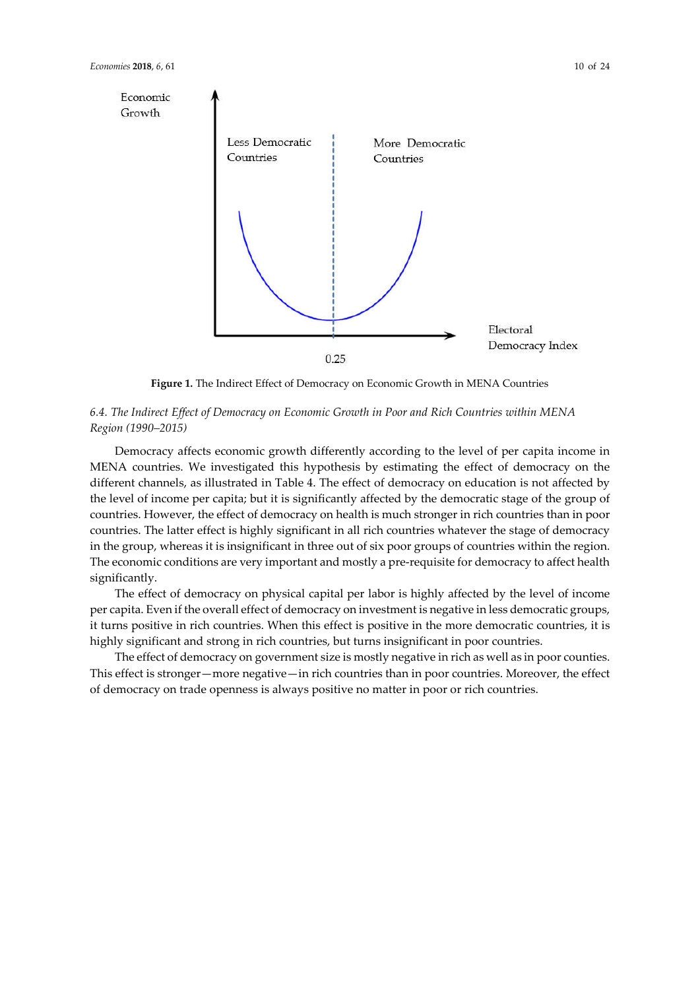

**Figure 1.** The Indirect Effect of Democracy on Economic Growth in MENA Countries

# *6.4. The Indirect Effect of Democracy on Economic Growth in Poor and Rich Countries within MENA Region (1990–2015)*

Democracy affects economic growth differently according to the level of per capita income in MENA countries. We investigated this hypothesis by estimating the effect of democracy on the different channels, as illustrated in Table 4. The effect of democracy on education is not affected by the level of income per capita; but it is significantly affected by the democratic stage of the group of countries. However, the effect of democracy on health is much stronger in rich countries than in poor countries. The latter effect is highly significant in all rich countries whatever the stage of democracy in the group, whereas it is insignificant in three out of six poor groups of countries within the region. The economic conditions are very important and mostly a pre-requisite for democracy to affect health significantly.

The effect of democracy on physical capital per labor is highly affected by the level of income per capita. Even if the overall effect of democracy on investment is negative in less democratic groups, it turns positive in rich countries. When this effect is positive in the more democratic countries, it is highly significant and strong in rich countries, but turns insignificant in poor countries.

The effect of democracy on government size is mostly negative in rich as well as in poor counties. This effect is stronger—more negative—in rich countries than in poor countries. Moreover, the effect of democracy on trade openness is always positive no matter in poor or rich countries.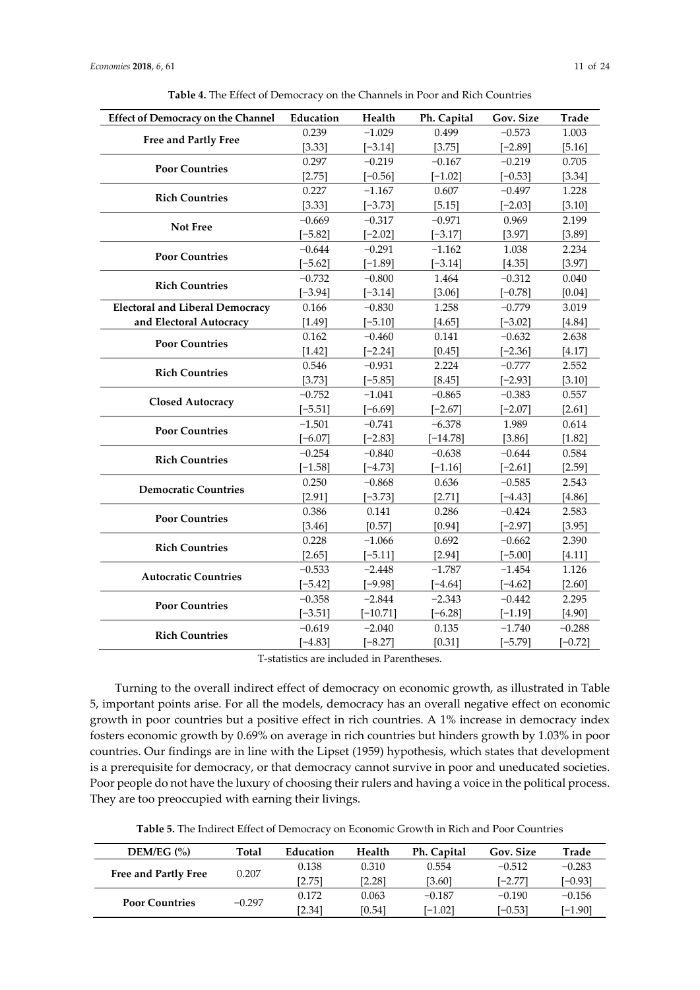| <b>Effect of Democracy on the Channel</b> | Education | Health                                               | Ph. Capital | Gov. Size | <b>Trade</b> |
|-------------------------------------------|-----------|------------------------------------------------------|-------------|-----------|--------------|
|                                           | 0.239     | $-1.029$                                             | 0.499       | $-0.573$  | 1.003        |
| <b>Free and Partly Free</b>               | [3.33]    | $[-3.14]$                                            | [3.75]      | $[-2.89]$ | [5.16]       |
| <b>Poor Countries</b>                     | 0.297     | $-0.219$                                             | $-0.167$    | $-0.219$  | 0.705        |
|                                           | [2.75]    | $[-0.56]$                                            | $[-1.02]$   | $[-0.53]$ | [3.34]       |
| <b>Rich Countries</b>                     | 0.227     | $-1.167$                                             | 0.607       | $-0.497$  | 1.228        |
|                                           | [3.33]    | $[-3.73]$                                            | [5.15]      | $[-2.03]$ | [3.10]       |
| Not Free                                  | $-0.669$  | $-0.317$                                             | $-0.971$    | 0.969     | 2.199        |
|                                           | $[-5.82]$ | $[-2.02]$                                            | $[-3.17]$   | [3.97]    | [3.89]       |
| <b>Poor Countries</b>                     | $-0.644$  | $-0.291$                                             | $-1.162$    | 1.038     | 2.234        |
|                                           | $[-5.62]$ | $[-1.89]$                                            | $[-3.14]$   | [4.35]    | [3.97]       |
| <b>Rich Countries</b>                     | $-0.732$  | $-0.800$                                             | 1.464       | $-0.312$  | 0.040        |
|                                           | $[-3.94]$ | $[-3.14]$                                            | [3.06]      | $[-0.78]$ | [0.04]       |
| <b>Electoral and Liberal Democracy</b>    | 0.166     | $-0.830$                                             | 1.258       | $-0.779$  | 3.019        |
| and Electoral Autocracy                   | [1.49]    | $[-5.10]$                                            | [4.65]      | $[-3.02]$ | [4.84]       |
| <b>Poor Countries</b>                     | 0.162     | $-0.460$                                             | 0.141       | $-0.632$  | 2.638        |
|                                           | [1.42]    | $[-2.24]$                                            | [0.45]      | $[-2.36]$ | [4.17]       |
| <b>Rich Countries</b>                     | 0.546     | $-0.931$                                             | 2.224       | $-0.777$  | 2.552        |
|                                           | [3.73]    | $[-5.85]$                                            | [8.45]      | $[-2.93]$ | [3.10]       |
| <b>Closed Autocracy</b>                   | $-0.752$  | $-1.041$                                             | $-0.865$    | $-0.383$  | 0.557        |
|                                           | $[-5.51]$ | $[-6.69]$                                            | $[-2.67]$   | $[-2.07]$ | $[2.61]$     |
| <b>Poor Countries</b>                     | $-1.501$  | $-0.741$                                             | $-6.378$    | 1.989     | 0.614        |
|                                           | $[-6.07]$ | $[-2.83]$                                            | $[-14.78]$  | [3.86]    | [1.82]       |
| <b>Rich Countries</b>                     | $-0.254$  | $-0.840$                                             | $-0.638$    | $-0.644$  | 0.584        |
|                                           | $[-1.58]$ | $[-4.73]$                                            | $[-1.16]$   | $[-2.61]$ | [2.59]       |
| <b>Democratic Countries</b>               | 0.250     | $-0.868$                                             | 0.636       | $-0.585$  | 2.543        |
|                                           | [2.91]    | $[-3.73]$                                            | [2.71]      | $[-4.43]$ | [4.86]       |
| <b>Poor Countries</b>                     | 0.386     | 0.141                                                | 0.286       | $-0.424$  | 2.583        |
|                                           | [3.46]    | [0.57]                                               | [0.94]      | $[-2.97]$ | [3.95]       |
| <b>Rich Countries</b>                     | 0.228     | $-1.066$                                             | 0.692       | $-0.662$  | 2.390        |
|                                           | [2.65]    | $[-5.11]$                                            | [2.94]      | $[-5.00]$ | [4.11]       |
| <b>Autocratic Countries</b>               | $-0.533$  | $-2.448$                                             | $-1.787$    | $-1.454$  | 1.126        |
|                                           | $[-5.42]$ | $[-9.98]$                                            | $[-4.64]$   | $[-4.62]$ | [2.60]       |
| <b>Poor Countries</b>                     | $-0.358$  | $-2.844$                                             | $-2.343$    | $-0.442$  | 2.295        |
|                                           | $[-3.51]$ | $[-10.71]$                                           | $[-6.28]$   | $[-1.19]$ | [4.90]       |
| <b>Rich Countries</b>                     | $-0.619$  | $-2.040$                                             | 0.135       | $-1.740$  | $-0.288$     |
|                                           | $[-4.83]$ | $[-8.27]$<br>Totatistics are included in Dorontheces | [0.31]      | $[-5.79]$ | $[-0.72]$    |

**Table 4.** The Effect of Democracy on the Channels in Poor and Rich Countries

Turning to the overall indirect effect of democracy on economic growth, as illustrated in Table 5, important points arise. For all the models, democracy has an overall negative effect on economic growth in poor countries but a positive effect in rich countries. A 1% increase in democracy index fosters economic growth by 0.69% on average in rich countries but hinders growth by 1.03% in poor countries. Our findings are in line with the Lipset (1959) hypothesis, which states that development is a prerequisite for democracy, or that democracy cannot survive in poor and uneducated societies. Poor people do not have the luxury of choosing their rulers and having a voice in the political process. They are too preoccupied with earning their livings.

**Table 5.** The Indirect Effect of Democracy on Economic Growth in Rich and Poor Countries

| DEM/EG $(%)$                | Total    | Education | Health | Ph. Capital | Gov. Size | Trade    |
|-----------------------------|----------|-----------|--------|-------------|-----------|----------|
|                             | 0.207    | 0.138     | 0.310  | 0.554       | $-0.512$  | $-0.283$ |
| <b>Free and Partly Free</b> |          | [2.75]    | [2.28] | [3.60]      | [–2.77]   | [–0.93]  |
|                             |          | 0.172     | 0.063  | $-0.187$    | $-0.190$  | $-0.156$ |
| <b>Poor Countries</b>       | $-0.297$ | [2.34]    | IO.541 | $[-1.02]$   | -0.531    | [–1.90]  |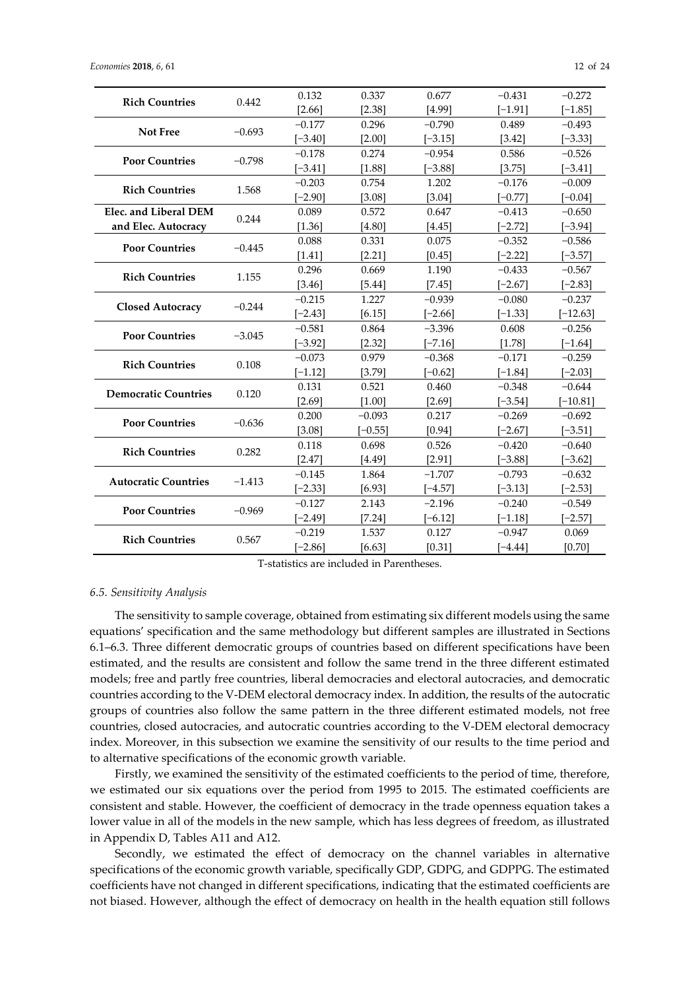| <b>Rich Countries</b>       | 0.442    | 0.132     | 0.337     | 0.677     | $-0.431$  | $-0.272$   |
|-----------------------------|----------|-----------|-----------|-----------|-----------|------------|
|                             |          | [2.66]    | [2.38]    | [4.99]    | $[-1.91]$ | $[-1.85]$  |
| <b>Not Free</b>             | $-0.693$ | $-0.177$  | 0.296     | $-0.790$  | 0.489     | $-0.493$   |
|                             |          | $[-3.40]$ | [2.00]    | $[-3.15]$ | [3.42]    | $[-3.33]$  |
| <b>Poor Countries</b>       | $-0.798$ | $-0.178$  | 0.274     | $-0.954$  | 0.586     | $-0.526$   |
|                             |          | $[-3.41]$ | [1.88]    | $[-3.88]$ | [3.75]    | $[-3.41]$  |
| <b>Rich Countries</b>       | 1.568    | $-0.203$  | 0.754     | 1.202     | $-0.176$  | $-0.009$   |
|                             |          | $[-2.90]$ | [3.08]    | [3.04]    | $[-0.77]$ | $[-0.04]$  |
| Elec. and Liberal DEM       | 0.244    | 0.089     | 0.572     | 0.647     | $-0.413$  | $-0.650$   |
| and Elec. Autocracy         |          | [1.36]    | [4.80]    | [4.45]    | $[-2.72]$ | $[-3.94]$  |
| <b>Poor Countries</b>       | $-0.445$ | 0.088     | 0.331     | 0.075     | $-0.352$  | $-0.586$   |
|                             |          | [1.41]    | [2.21]    | [0.45]    | $[-2.22]$ | $[-3.57]$  |
| <b>Rich Countries</b>       | 1.155    | 0.296     | 0.669     | 1.190     | $-0.433$  | $-0.567$   |
|                             |          | [3.46]    | [5.44]    | [7.45]    | $[-2.67]$ | $[-2.83]$  |
| <b>Closed Autocracy</b>     | $-0.244$ | $-0.215$  | 1.227     | $-0.939$  | $-0.080$  | $-0.237$   |
|                             |          | $[-2.43]$ | [6.15]    | $[-2.66]$ | $[-1.33]$ | $[-12.63]$ |
| <b>Poor Countries</b>       | $-3.045$ | $-0.581$  | 0.864     | $-3.396$  | 0.608     | $-0.256$   |
|                             |          | $[-3.92]$ | [2.32]    | $[-7.16]$ | [1.78]    | $[-1.64]$  |
| <b>Rich Countries</b>       | 0.108    | $-0.073$  | 0.979     | $-0.368$  | $-0.171$  | $-0.259$   |
|                             |          | $[-1.12]$ | [3.79]    | $[-0.62]$ | $[-1.84]$ | $[-2.03]$  |
| <b>Democratic Countries</b> | 0.120    | 0.131     | 0.521     | 0.460     | $-0.348$  | $-0.644$   |
|                             |          | [2.69]    | [1.00]    | [2.69]    | $[-3.54]$ | $[-10.81]$ |
| <b>Poor Countries</b>       | $-0.636$ | 0.200     | $-0.093$  | 0.217     | $-0.269$  | $-0.692$   |
|                             |          | [3.08]    | $[-0.55]$ | [0.94]    | $[-2.67]$ | $[-3.51]$  |
| <b>Rich Countries</b>       | 0.282    | 0.118     | 0.698     | 0.526     | $-0.420$  | $-0.640$   |
|                             |          | [2.47]    | [4.49]    | [2.91]    | $[-3.88]$ | $[-3.62]$  |
| <b>Autocratic Countries</b> | $-1.413$ | $-0.145$  | 1.864     | $-1.707$  | $-0.793$  | $-0.632$   |
|                             |          | $[-2.33]$ | [6.93]    | $[-4.57]$ | $[-3.13]$ | $[-2.53]$  |
| <b>Poor Countries</b>       | $-0.969$ | $-0.127$  | 2.143     | $-2.196$  | $-0.240$  | $-0.549$   |
|                             |          | [–2.49]   | [7.24]    | $[-6.12]$ | $[-1.18]$ | $[-2.57]$  |
|                             |          | $-0.219$  | 1.537     | 0.127     | $-0.947$  | 0.069      |
| <b>Rich Countries</b>       | 0.567    | $[-2.86]$ | [6.63]    | [0.31]    | $[-4.44]$ | [0.70]     |

#### *6.5. Sensitivity Analysis*

The sensitivity to sample coverage, obtained from estimating six different models using the same equations' specification and the same methodology but different samples are illustrated in Sections 6.1–6.3. Three different democratic groups of countries based on different specifications have been estimated, and the results are consistent and follow the same trend in the three different estimated models; free and partly free countries, liberal democracies and electoral autocracies, and democratic countries according to the V-DEM electoral democracy index. In addition, the results of the autocratic groups of countries also follow the same pattern in the three different estimated models, not free countries, closed autocracies, and autocratic countries according to the V-DEM electoral democracy index. Moreover, in this subsection we examine the sensitivity of our results to the time period and to alternative specifications of the economic growth variable.

Firstly, we examined the sensitivity of the estimated coefficients to the period of time, therefore, we estimated our six equations over the period from 1995 to 2015. The estimated coefficients are consistent and stable. However, the coefficient of democracy in the trade openness equation takes a lower value in all of the models in the new sample, which has less degrees of freedom, as illustrated in Appendix D, Tables A11 and A12.

Secondly, we estimated the effect of democracy on the channel variables in alternative specifications of the economic growth variable, specifically GDP, GDPG, and GDPPG. The estimated coefficients have not changed in different specifications, indicating that the estimated coefficients are not biased. However, although the effect of democracy on health in the health equation still follows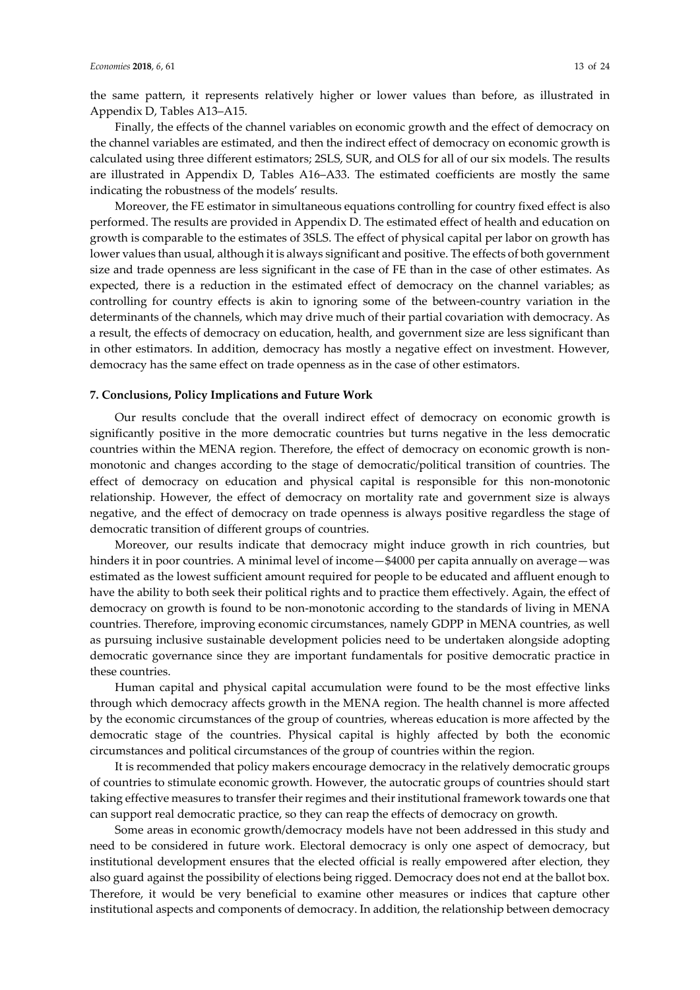the same pattern, it represents relatively higher or lower values than before, as illustrated in Appendix D, Tables A13–A15.

Finally, the effects of the channel variables on economic growth and the effect of democracy on the channel variables are estimated, and then the indirect effect of democracy on economic growth is calculated using three different estimators; 2SLS, SUR, and OLS for all of our six models. The results are illustrated in Appendix D, Tables A16–A33. The estimated coefficients are mostly the same indicating the robustness of the models' results.

Moreover, the FE estimator in simultaneous equations controlling for country fixed effect is also performed. The results are provided in Appendix D. The estimated effect of health and education on growth is comparable to the estimates of 3SLS. The effect of physical capital per labor on growth has lower values than usual, although it is always significant and positive. The effects of both government size and trade openness are less significant in the case of FE than in the case of other estimates. As expected, there is a reduction in the estimated effect of democracy on the channel variables; as controlling for country effects is akin to ignoring some of the between-country variation in the determinants of the channels, which may drive much of their partial covariation with democracy. As a result, the effects of democracy on education, health, and government size are less significant than in other estimators. In addition, democracy has mostly a negative effect on investment. However, democracy has the same effect on trade openness as in the case of other estimators.

# **7. Conclusions, Policy Implications and Future Work**

Our results conclude that the overall indirect effect of democracy on economic growth is significantly positive in the more democratic countries but turns negative in the less democratic countries within the MENA region. Therefore, the effect of democracy on economic growth is nonmonotonic and changes according to the stage of democratic/political transition of countries. The effect of democracy on education and physical capital is responsible for this non-monotonic relationship. However, the effect of democracy on mortality rate and government size is always negative, and the effect of democracy on trade openness is always positive regardless the stage of democratic transition of different groups of countries.

Moreover, our results indicate that democracy might induce growth in rich countries, but hinders it in poor countries. A minimal level of income – \$4000 per capita annually on average – was estimated as the lowest sufficient amount required for people to be educated and affluent enough to have the ability to both seek their political rights and to practice them effectively. Again, the effect of democracy on growth is found to be non-monotonic according to the standards of living in MENA countries. Therefore, improving economic circumstances, namely GDPP in MENA countries, as well as pursuing inclusive sustainable development policies need to be undertaken alongside adopting democratic governance since they are important fundamentals for positive democratic practice in these countries.

Human capital and physical capital accumulation were found to be the most effective links through which democracy affects growth in the MENA region. The health channel is more affected by the economic circumstances of the group of countries, whereas education is more affected by the democratic stage of the countries. Physical capital is highly affected by both the economic circumstances and political circumstances of the group of countries within the region.

It is recommended that policy makers encourage democracy in the relatively democratic groups of countries to stimulate economic growth. However, the autocratic groups of countries should start taking effective measures to transfer their regimes and their institutional framework towards one that can support real democratic practice, so they can reap the effects of democracy on growth.

Some areas in economic growth/democracy models have not been addressed in this study and need to be considered in future work. Electoral democracy is only one aspect of democracy, but institutional development ensures that the elected official is really empowered after election, they also guard against the possibility of elections being rigged. Democracy does not end at the ballot box. Therefore, it would be very beneficial to examine other measures or indices that capture other institutional aspects and components of democracy. In addition, the relationship between democracy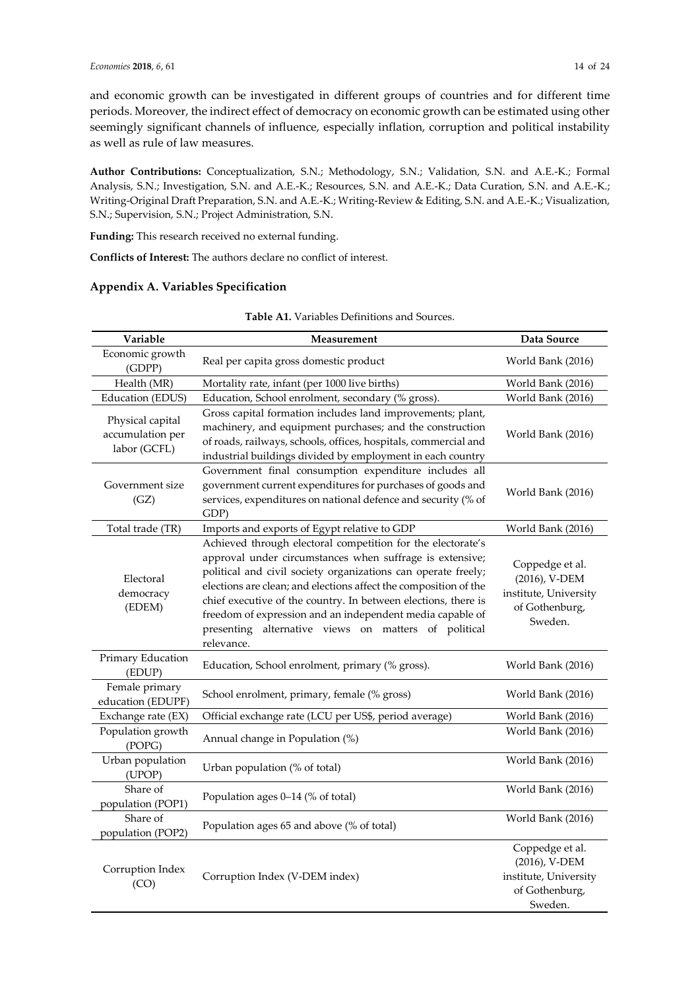and economic growth can be investigated in different groups of countries and for different time periods. Moreover, the indirect effect of democracy on economic growth can be estimated using other seemingly significant channels of influence, especially inflation, corruption and political instability as well as rule of law measures.

**Author Contributions:** Conceptualization, S.N.; Methodology, S.N.; Validation, S.N. and A.E.-K.; Formal Analysis, S.N.; Investigation, S.N. and A.E.-K.; Resources, S.N. and A.E.-K.; Data Curation, S.N. and A.E.-K.; Writing-Original Draft Preparation, S.N. and A.E.-K.; Writing-Review & Editing, S.N. and A.E.-K.; Visualization, S.N.; Supervision, S.N.; Project Administration, S.N.

**Funding:** This research received no external funding.

**Conflicts of Interest:** The authors declare no conflict of interest.

# **Appendix A. Variables Specification**

| Variable                                             | Measurement                                                                                                                                                                                                                                                                                                                                                                                                                                                       | Data Source                                                                            |
|------------------------------------------------------|-------------------------------------------------------------------------------------------------------------------------------------------------------------------------------------------------------------------------------------------------------------------------------------------------------------------------------------------------------------------------------------------------------------------------------------------------------------------|----------------------------------------------------------------------------------------|
| Economic growth<br>(GDPP)                            | Real per capita gross domestic product                                                                                                                                                                                                                                                                                                                                                                                                                            | World Bank (2016)                                                                      |
| Health (MR)                                          | Mortality rate, infant (per 1000 live births)                                                                                                                                                                                                                                                                                                                                                                                                                     | World Bank (2016)                                                                      |
| <b>Education</b> (EDUS)                              | Education, School enrolment, secondary (% gross).                                                                                                                                                                                                                                                                                                                                                                                                                 | World Bank (2016)                                                                      |
| Physical capital<br>accumulation per<br>labor (GCFL) | Gross capital formation includes land improvements; plant,<br>machinery, and equipment purchases; and the construction<br>of roads, railways, schools, offices, hospitals, commercial and<br>industrial buildings divided by employment in each country                                                                                                                                                                                                           | World Bank (2016)                                                                      |
| Government size<br>(GZ)                              | Government final consumption expenditure includes all<br>government current expenditures for purchases of goods and<br>services, expenditures on national defence and security (% of<br>GDP)                                                                                                                                                                                                                                                                      | World Bank (2016)                                                                      |
| Total trade (TR)                                     | Imports and exports of Egypt relative to GDP                                                                                                                                                                                                                                                                                                                                                                                                                      | World Bank (2016)                                                                      |
| Electoral<br>democracy<br>(EDEM)                     | Achieved through electoral competition for the electorate's<br>approval under circumstances when suffrage is extensive;<br>political and civil society organizations can operate freely;<br>elections are clean; and elections affect the composition of the<br>chief executive of the country. In between elections, there is<br>freedom of expression and an independent media capable of<br>presenting alternative views on matters of political<br>relevance. | Coppedge et al.<br>(2016), V-DEM<br>institute, University<br>of Gothenburg,<br>Sweden. |
| Primary Education<br>(EDUP)                          | Education, School enrolment, primary (% gross).                                                                                                                                                                                                                                                                                                                                                                                                                   | World Bank (2016)                                                                      |
| Female primary<br>education (EDUPF)                  | School enrolment, primary, female (% gross)                                                                                                                                                                                                                                                                                                                                                                                                                       | World Bank (2016)                                                                      |
| Exchange rate (EX)                                   | Official exchange rate (LCU per US\$, period average)                                                                                                                                                                                                                                                                                                                                                                                                             | World Bank (2016)                                                                      |
| Population growth<br>(POPG)                          | Annual change in Population (%)                                                                                                                                                                                                                                                                                                                                                                                                                                   | World Bank (2016)                                                                      |
| Urban population<br>(UPOP)                           | Urban population (% of total)                                                                                                                                                                                                                                                                                                                                                                                                                                     | World Bank (2016)                                                                      |
| Share of<br>population (POP1)                        | Population ages 0-14 (% of total)                                                                                                                                                                                                                                                                                                                                                                                                                                 | World Bank (2016)                                                                      |
| Share of<br>population (POP2)                        | Population ages 65 and above (% of total)                                                                                                                                                                                                                                                                                                                                                                                                                         | World Bank (2016)                                                                      |
| Corruption Index<br>(CO)                             | Corruption Index (V-DEM index)                                                                                                                                                                                                                                                                                                                                                                                                                                    | Coppedge et al.<br>(2016), V-DEM<br>institute, University<br>of Gothenburg,<br>Sweden. |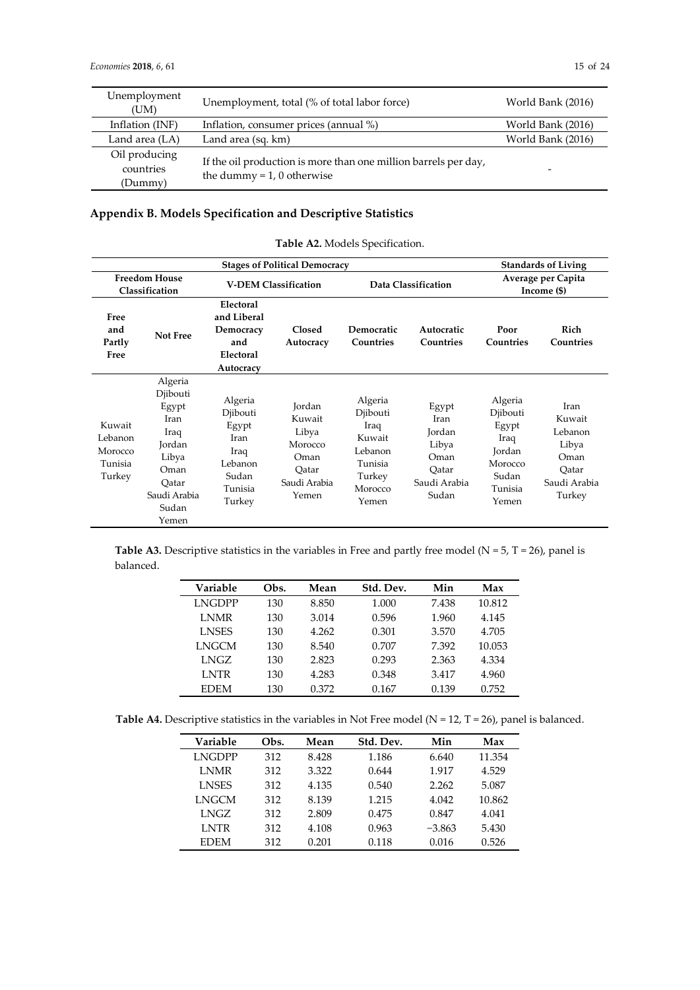| Unemployment<br>(UM)                  | Unemployment, total (% of total labor force)                                                     | World Bank (2016) |
|---------------------------------------|--------------------------------------------------------------------------------------------------|-------------------|
| Inflation (INF)                       | Inflation, consumer prices (annual %)                                                            | World Bank (2016) |
| Land area (LA)                        | Land area (sq. km)                                                                               | World Bank (2016) |
| Oil producing<br>countries<br>(Dummy) | If the oil production is more than one million barrels per day,<br>the dummy $= 1$ , 0 otherwise |                   |

# **Appendix B. Models Specification and Descriptive Statistics**

|                                                   |                                                                                                                    |                                                                                       |                                                                                | <b>Standards of Living</b>                                                                |                                                                            |                                                                                        |                                                                               |  |
|---------------------------------------------------|--------------------------------------------------------------------------------------------------------------------|---------------------------------------------------------------------------------------|--------------------------------------------------------------------------------|-------------------------------------------------------------------------------------------|----------------------------------------------------------------------------|----------------------------------------------------------------------------------------|-------------------------------------------------------------------------------|--|
|                                                   | <b>Freedom House</b><br>Classification                                                                             |                                                                                       | <b>V-DEM Classification</b>                                                    | Data Classification                                                                       |                                                                            | Average per Capita<br>Income (\$)                                                      |                                                                               |  |
| Free<br>and<br>Partly<br>Free                     | Not Free                                                                                                           | Electoral<br>and Liberal<br>Democracy<br>and<br>Electoral<br>Autocracy                | Closed<br>Autocracy                                                            | Democratic<br>Countries                                                                   | Autocratic<br>Countries                                                    | Poor<br>Countries                                                                      | Rich<br>Countries                                                             |  |
| Kuwait<br>Lebanon<br>Morocco<br>Tunisia<br>Turkey | Algeria<br>Djibouti<br>Egypt<br>Iran<br>Iraq<br>Jordan<br>Libya<br>Oman<br>Oatar<br>Saudi Arabia<br>Sudan<br>Yemen | Algeria<br>Djibouti<br>Egypt<br>Iran<br>Iraq<br>Lebanon<br>Sudan<br>Tunisia<br>Turkey | Jordan<br>Kuwait<br>Libya<br>Morocco<br>Oman<br>Qatar<br>Saudi Arabia<br>Yemen | Algeria<br>Djibouti<br>Iraq<br>Kuwait<br>Lebanon<br>Tunisia<br>Turkey<br>Morocco<br>Yemen | Egypt<br>Iran<br>Jordan<br>Libya<br>Oman<br>Qatar<br>Saudi Arabia<br>Sudan | Algeria<br>Djibouti<br>Egypt<br>Iraq<br>Jordan<br>Morocco<br>Sudan<br>Tunisia<br>Yemen | Iran<br>Kuwait<br>Lebanon<br>Libya<br>Oman<br>Qatar<br>Saudi Arabia<br>Turkey |  |

# **Table A2.** Models Specification.

**Table A3.** Descriptive statistics in the variables in Free and partly free model ( $N = 5$ ,  $T = 26$ ), panel is balanced.

| Variable      | Obs. | Mean  | Std. Dev. | Min   | Max    |
|---------------|------|-------|-----------|-------|--------|
| <b>LNGDPP</b> | 130  | 8.850 | 1.000     | 7.438 | 10.812 |
| LNMR          | 130  | 3.014 | 0.596     | 1.960 | 4.145  |
| <b>LNSES</b>  | 130  | 4.262 | 0.301     | 3.570 | 4.705  |
| LNGCM         | 130  | 8.540 | 0.707     | 7.392 | 10.053 |
| LNGZ          | 130  | 2.823 | 0.293     | 2.363 | 4.334  |
| LNTR.         | 130  | 4.283 | 0.348     | 3.417 | 4.960  |
| EDEM          | 130  | 0.372 | 0.167     | 0.139 | 0.752  |

Table A4. Descriptive statistics in the variables in Not Free model (N = 12, T = 26), panel is balanced.

| Variable     | Obs. | Mean  | Std. Dev. | Min      | Max    |
|--------------|------|-------|-----------|----------|--------|
| LNGDPP       | 312  | 8.428 | 1.186     | 6.640    | 11.354 |
| <b>LNMR</b>  | 312  | 3.322 | 0.644     | 1.917    | 4.529  |
| <b>LNSES</b> | 312  | 4.135 | 0.540     | 2.262    | 5.087  |
| <b>LNGCM</b> | 312  | 8.139 | 1.215     | 4.042    | 10.862 |
| LNGZ         | 312  | 2.809 | 0.475     | 0.847    | 4.041  |
| LNTR         | 312  | 4.108 | 0.963     | $-3.863$ | 5.430  |
| <b>EDEM</b>  | 312  | 0.201 | 0.118     | 0.016    | 0.526  |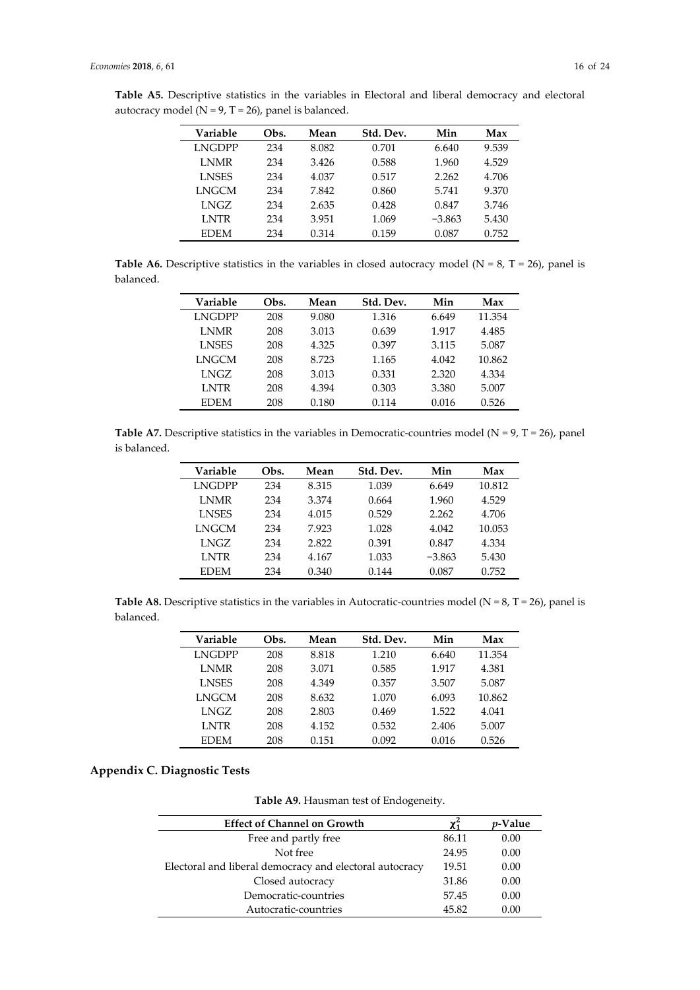| Variable     | Obs. | Mean  | Std. Dev. | Min    | Max   |
|--------------|------|-------|-----------|--------|-------|
| LNGDPP       | 234  | 8.082 | 0.701     | 6.640  | 9.539 |
| LNMR         | 234  | 3.426 | 0.588     | 1.960  | 4.529 |
| <b>LNSES</b> | 234  | 4.037 | 0.517     | 2.262  | 4.706 |
| LNGCM        | 234  | 7.842 | 0.860     | 5.741  | 9.370 |
| LNGZ         | 234  | 2.635 | 0.428     | 0.847  | 3.746 |
| LNTR         | 234  | 3.951 | 1.069     | -3.863 | 5.430 |
| EDEM         | 234  | 0.314 | 0.159     | 0.087  | 0.752 |

**Table A5.** Descriptive statistics in the variables in Electoral and liberal democracy and electoral autocracy model ( $N = 9$ , T = 26), panel is balanced.

|           | <b>Table A6.</b> Descriptive statistics in the variables in closed autocracy model ( $N = 8$ , T = 26), panel is |  |  |  |  |  |
|-----------|------------------------------------------------------------------------------------------------------------------|--|--|--|--|--|
| balanced. |                                                                                                                  |  |  |  |  |  |

| Variable     | Obs. | Mean  | Std. Dev. | Min   | Max    |
|--------------|------|-------|-----------|-------|--------|
| LNGDPP       | 208  | 9.080 | 1.316     | 6.649 | 11.354 |
| LNMR         | 208  | 3.013 | 0.639     | 1.917 | 4.485  |
| <b>LNSES</b> | 208  | 4.325 | 0.397     | 3.115 | 5.087  |
| LNGCM        | 208  | 8.723 | 1.165     | 4.042 | 10.862 |
| LNGZ         | 208  | 3.013 | 0.331     | 2.320 | 4.334  |
| LNTR         | 208  | 4.394 | 0.303     | 3.380 | 5.007  |
| <b>EDEM</b>  | 208  | 0.180 | 0.114     | 0.016 | 0.526  |

**Table A7.** Descriptive statistics in the variables in Democratic-countries model ( $N = 9$ ,  $T = 26$ ), panel is balanced.

| Variable      | Obs. | Mean  | Std. Dev. | Min      | Max    |
|---------------|------|-------|-----------|----------|--------|
| <b>LNGDPP</b> | 234  | 8.315 | 1.039     | 6.649    | 10.812 |
| LNMR          | 234  | 3.374 | 0.664     | 1.960    | 4.529  |
| <b>LNSES</b>  | 234  | 4.015 | 0.529     | 2.262    | 4.706  |
| LNGCM         | 234  | 7.923 | 1.028     | 4.042    | 10.053 |
| LNGZ          | 234  | 2.822 | 0.391     | 0.847    | 4.334  |
| LNTR          | 234  | 4.167 | 1.033     | $-3.863$ | 5.430  |
| <b>EDEM</b>   | 234  | 0.340 | 0.144     | 0.087    | 0.752  |

**Table A8.** Descriptive statistics in the variables in Autocratic-countries model ( $N = 8$ ,  $T = 26$ ), panel is balanced.

| Variable      | Obs. | Mean  | Std. Dev. | Min   | Max    |
|---------------|------|-------|-----------|-------|--------|
| <b>LNGDPP</b> | 208  | 8.818 | 1.210     | 6.640 | 11.354 |
| LNMR          | 208  | 3.071 | 0.585     | 1.917 | 4.381  |
| <b>LNSES</b>  | 208  | 4.349 | 0.357     | 3.507 | 5.087  |
| LNGCM         | 208  | 8.632 | 1.070     | 6.093 | 10.862 |
| LNGZ          | 208  | 2.803 | 0.469     | 1.522 | 4.041  |
| LNTR          | 208  | 4.152 | 0.532     | 2.406 | 5.007  |
| <b>EDEM</b>   | 208  | 0.151 | 0.092     | 0.016 | 0.526  |

# **Appendix C. Diagnostic Tests**

| <b>Table A9.</b> Hausman test of Endogeneity. |  |
|-----------------------------------------------|--|
|-----------------------------------------------|--|

| <b>Effect of Channel on Growth</b>                      |       | <i>p</i> -Value |
|---------------------------------------------------------|-------|-----------------|
| Free and partly free                                    | 86.11 | 0.00            |
| Not free                                                | 24.95 | 0.00            |
| Electoral and liberal democracy and electoral autocracy |       | 0.00            |
| Closed autocracy                                        | 31.86 | 0.00            |
| Democratic-countries                                    | 57.45 | 0.00            |
| Autocratic-countries                                    | 45.82 | 0.00            |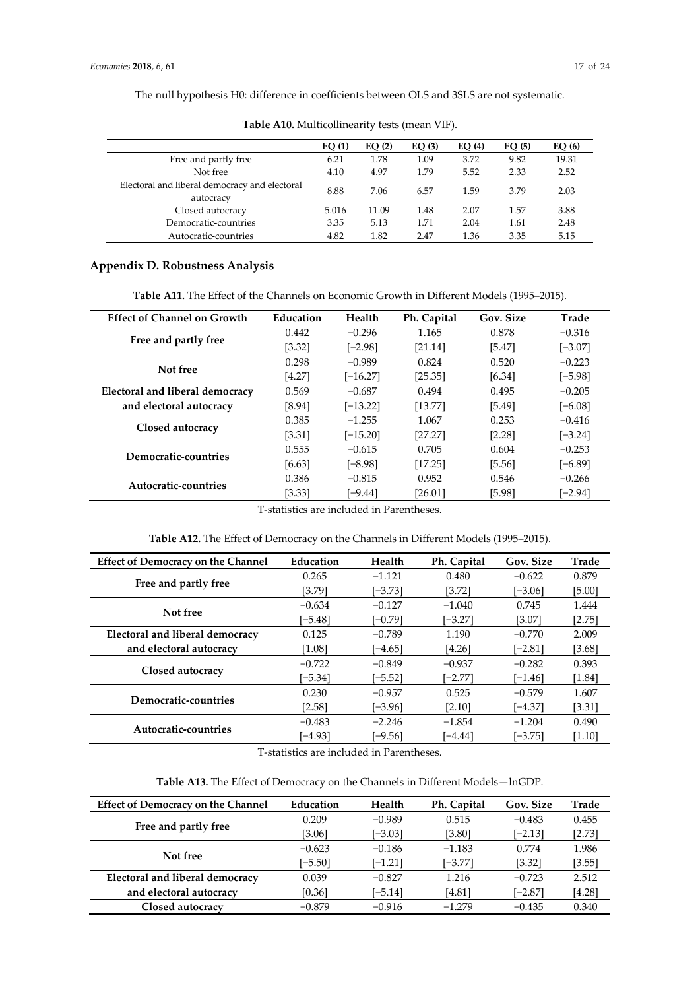The null hypothesis H0: difference in coefficients between OLS and 3SLS are not systematic.

|                                               | EQ(1) | EO(2) | EO(3) | EQ(4) | EO(5) | EO(6) |
|-----------------------------------------------|-------|-------|-------|-------|-------|-------|
| Free and partly free                          | 6.21  | 1.78  | 1.09  | 3.72  | 9.82  | 19.31 |
| Not free                                      | 4.10  | 4.97  | 1.79  | 5.52  | 2.33  | 2.52  |
| Electoral and liberal democracy and electoral | 8.88  | 7.06  | 6.57  | 1.59  | 3.79  | 2.03  |
| autocracy                                     |       |       |       |       |       |       |
| Closed autocracy                              | 5.016 | 11.09 | 1.48  | 2.07  | 1.57  | 3.88  |
| Democratic-countries                          | 3.35  | 5.13  | 1.71  | 2.04  | 1.61  | 2.48  |
| Autocratic-countries                          | 4.82  | 1.82  | 2.47  | 1.36  | 3.35  | 5.15  |

**Table A10.** Multicollinearity tests (mean VIF).

# **Appendix D. Robustness Analysis**

**Table A11.** The Effect of the Channels on Economic Growth in Different Models (1995–2015).

| <b>Effect of Channel on Growth</b> | Education | Health     | Ph. Capital | Gov. Size | Trade     |
|------------------------------------|-----------|------------|-------------|-----------|-----------|
|                                    | 0.442     | $-0.296$   | 1.165       | 0.878     | $-0.316$  |
| Free and partly free               | [3.32]    | [–2.98]    | [21.14]     | [5.47]    | $[-3.07]$ |
| Not free                           | 0.298     | $-0.989$   | 0.824       | 0.520     | $-0.223$  |
|                                    | [4.27]    | [–16.27]   | [25.35]     | [6.34]    | $[-5.98]$ |
| Electoral and liberal democracy    | 0.569     | $-0.687$   | 0.494       | 0.495     | $-0.205$  |
| and electoral autocracy            | [8.94]    | $[-13.22]$ | [13.77]     | [5.49]    | $[-6.08]$ |
| Closed autocracy                   | 0.385     | $-1.255$   | 1.067       | 0.253     | $-0.416$  |
|                                    | [3.31]    | $[-15.20]$ | [27.27]     | [2.28]    | [-3.24]   |
| Democratic-countries               | 0.555     | $-0.615$   | 0.705       | 0.604     | $-0.253$  |
|                                    | [6.63]    | [–8.98]    | [17.25]     | [5.56]    | $[-6.89]$ |
| Autocratic-countries               | 0.386     | $-0.815$   | 0.952       | 0.546     | $-0.266$  |
|                                    | [3.33]    | [–9.44]    | [26.01]     | [5.98]    | $[-2.94]$ |
|                                    | .         | .          |             |           |           |

T-statistics are included in Parentheses.

**Table A12.** The Effect of Democracy on the Channels in Different Models (1995–2015).

| <b>Effect of Democracy on the Channel</b> | Education | Health    | Ph. Capital | Gov. Size | Trade  |
|-------------------------------------------|-----------|-----------|-------------|-----------|--------|
|                                           | 0.265     | $-1.121$  | 0.480       | $-0.622$  | 0.879  |
| Free and partly free                      | [3.79]    | $[-3.73]$ | [3.72]      | $[-3.06]$ | [5.00] |
| Not free                                  | $-0.634$  | $-0.127$  | $-1.040$    | 0.745     | 1.444  |
|                                           | $[-5.48]$ | $[-0.79]$ | [-3.27]     | [3.07]    | [2.75] |
| Electoral and liberal democracy           | 0.125     | $-0.789$  | 1.190       | $-0.770$  | 2.009  |
| and electoral autocracy                   | [1.08]    | $[-4.65]$ | [4.26]      | $[-2.81]$ | [3.68] |
|                                           | $-0.722$  | $-0.849$  | $-0.937$    | $-0.282$  | 0.393  |
| Closed autocracy                          | $[-5.34]$ | $[-5.52]$ | [–2.77]     | [–1.46]   | [1.84] |
| Democratic-countries                      | 0.230     | $-0.957$  | 0.525       | $-0.579$  | 1.607  |
|                                           | [2.58]    | $[-3.96]$ | [2.10]      | $[-4.37]$ | [3.31] |
| Autocratic-countries                      | $-0.483$  | $-2.246$  | $-1.854$    | $-1.204$  | 0.490  |
|                                           | $[-4.93]$ | $[-9.56]$ | [–4.44]     | [-3.75]   | [1.10] |

| <b>Table A13.</b> The Effect of Democracy on the Channels in Different Models—InGDP. |  |
|--------------------------------------------------------------------------------------|--|
|--------------------------------------------------------------------------------------|--|

| <b>Effect of Democracy on the Channel</b> | Education | Health    | Ph. Capital | Gov. Size | Trade  |
|-------------------------------------------|-----------|-----------|-------------|-----------|--------|
|                                           | 0.209     | $-0.989$  | 0.515       | $-0.483$  | 0.455  |
| Free and partly free                      | [3.06]    | $[-3.03]$ | [3.80]      | $[-2.13]$ | [2.73] |
| Not free                                  | $-0.623$  | $-0.186$  | $-1.183$    | 0.774     | 1.986  |
|                                           | $[-5.50]$ | $[-1.21]$ | $[-3.77]$   | [3.32]    | [3.55] |
| Electoral and liberal democracy           | 0.039     | $-0.827$  | 1.216       | $-0.723$  | 2.512  |
| and electoral autocracy                   | [0.36]    | $[-5.14]$ | [4.81]      | $[-2.87]$ | [4.28] |
| Closed autocracy                          | $-0.879$  | $-0.916$  | $-1.279$    | $-0.435$  | 0.340  |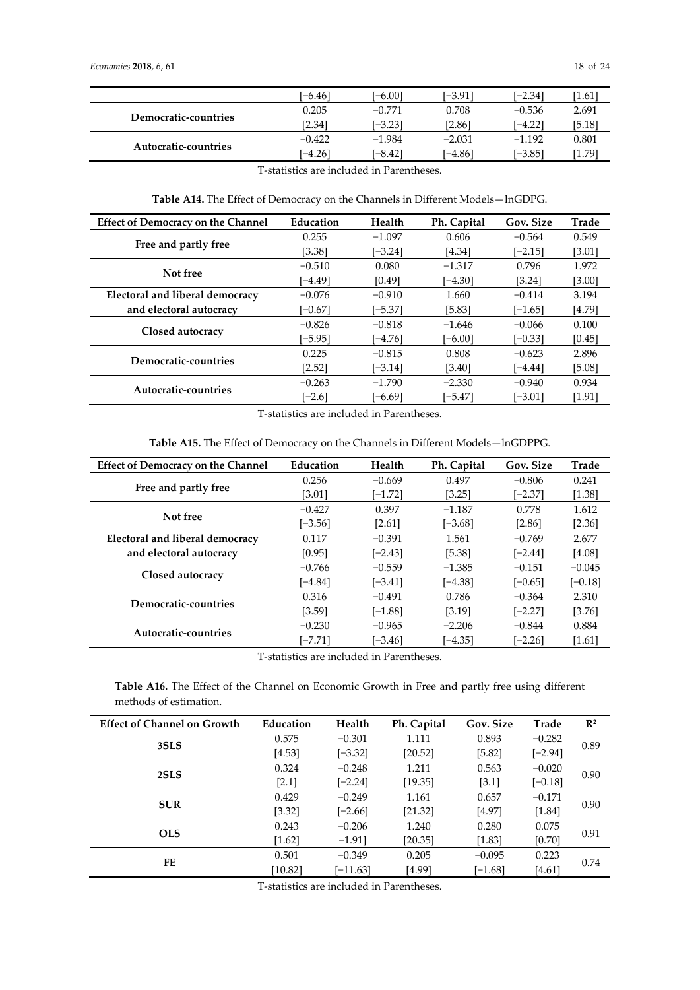|                      | [–6.46]  | $-6.001$ | $[-3.91]$ | $[-2.34]$ | [1.61  |
|----------------------|----------|----------|-----------|-----------|--------|
| Democratic-countries | 0.205    | $-0.771$ | 0.708     | $-0.536$  | 2.691  |
|                      | [2.34]   | -3.231   | [2.86]    | [–4.22]   | [5.18] |
| Autocratic-countries | $-0.422$ | $-1.984$ | $-2.031$  | $-1.192$  | 0.801  |
|                      | [–4.26]  | [–8.42]  | [–4.86]   | $[-3.85]$ | [1.79] |
|                      |          |          |           |           |        |

**Table A14.** The Effect of Democracy on the Channels in Different Models—lnGDPG.

| <b>Effect of Democracy on the Channel</b> | Education | Health    | Ph. Capital | Gov. Size | Trade  |
|-------------------------------------------|-----------|-----------|-------------|-----------|--------|
|                                           | 0.255     | $-1.097$  | 0.606       | $-0.564$  | 0.549  |
| Free and partly free                      | [3.38]    | $[-3.24]$ | [4.34]      | $[-2.15]$ | [3.01] |
| Not free                                  | $-0.510$  | 0.080     | $-1.317$    | 0.796     | 1.972  |
|                                           | [–4.49]   | [0.49]    | $[-4.30]$   | [3.24]    | [3.00] |
| Electoral and liberal democracy           | $-0.076$  | $-0.910$  | 1.660       | $-0.414$  | 3.194  |
| and electoral autocracy                   | $[-0.67]$ | [-5.37]   | [5.83]      | $[-1.65]$ | [4.79] |
| Closed autocracy                          | $-0.826$  | $-0.818$  | $-1.646$    | $-0.066$  | 0.100  |
|                                           | [–5.95]   | $[-4.76]$ | [–6.00]     | $[-0.33]$ | [0.45] |
| Democratic-countries                      | 0.225     | $-0.815$  | 0.808       | $-0.623$  | 2.896  |
|                                           | [2.52]    | $[-3.14]$ | [3.40]      | [–4.44]   | [5.08] |
| Autocratic-countries                      | $-0.263$  | $-1.790$  | $-2.330$    | $-0.940$  | 0.934  |
|                                           | $[-2.6]$  | [–6.69]   | [–5.47]     | $[-3.01]$ | [1.91] |

T-statistics are included in Parentheses.

**Table A15.** The Effect of Democracy on the Channels in Different Models—lnGDPPG.

| <b>Effect of Democracy on the Channel</b> | Education | Health    | Ph. Capital | Gov. Size | Trade     |  |
|-------------------------------------------|-----------|-----------|-------------|-----------|-----------|--|
|                                           | 0.256     | $-0.669$  | 0.497       | $-0.806$  | 0.241     |  |
| Free and partly free                      | [3.01]    | $[-1.72]$ | [3.25]      | $[-2.37]$ | [1.38]    |  |
| Not free                                  | $-0.427$  | 0.397     | $-1.187$    | 0.778     | 1.612     |  |
|                                           | $[-3.56]$ | [2.61]    | $[-3.68]$   | [2.86]    | [2.36]    |  |
| Electoral and liberal democracy           | 0.117     | $-0.391$  | 1.561       | $-0.769$  | 2.677     |  |
| and electoral autocracy                   | [0.95]    | $[-2.43]$ | [5.38]      | $[-2.44]$ | [4.08]    |  |
| Closed autocracy                          | $-0.766$  | $-0.559$  | $-1.385$    | $-0.151$  | $-0.045$  |  |
|                                           | $[-4.84]$ | $[-3.41]$ | $[-4.38]$   | $[-0.65]$ | $[-0.18]$ |  |
| Democratic-countries                      | 0.316     | $-0.491$  | 0.786       | $-0.364$  | 2.310     |  |
|                                           | [3.59]    | $[-1.88]$ | [3.19]      | $[-2.27]$ | [3.76]    |  |
| Autocratic-countries                      | $-0.230$  | $-0.965$  | $-2.206$    | $-0.844$  | 0.884     |  |
|                                           | $[-7.71]$ | $[-3.46]$ | $[-4.35]$   | $[-2.26]$ | [1.61]    |  |
| T statistics are included in Daronthoses  |           |           |             |           |           |  |

T-statistics are included in Parentheses.

**Table A16.** The Effect of the Channel on Economic Growth in Free and partly free using different methods of estimation.

| <b>Effect of Channel on Growth</b> | <b>Education</b> | Health    | Ph. Capital | Gov. Size | Trade     | $\mathbb{R}^2$ |
|------------------------------------|------------------|-----------|-------------|-----------|-----------|----------------|
| 3SLS                               | 0.575            | $-0.301$  | 1.111       | 0.893     | $-0.282$  | 0.89           |
|                                    | [4.53]           | $[-3.32]$ | [20.52]     | [5.82]    | $[-2.94]$ |                |
| 2SLS                               | 0.324            | $-0.248$  | 1.211       | 0.563     | $-0.020$  | 0.90           |
|                                    | [2.1]            | $[-2.24]$ | [19.35]     | [3.1]     | $[-0.18]$ |                |
| <b>SUR</b>                         | 0.429            | $-0.249$  | 1.161       | 0.657     | $-0.171$  | 0.90           |
|                                    | [3.32]           | $[-2.66]$ | [21.32]     | [4.97]    | [1.84]    |                |
| <b>OLS</b>                         | 0.243            | $-0.206$  | 1.240       | 0.280     | 0.075     | 0.91           |
|                                    | [1.62]           | $-1.91$ ] | [20.35]     | [1.83]    | [0.70]    |                |
| FE                                 | 0.501            | $-0.349$  | 0.205       | $-0.095$  | 0.223     | 0.74           |
|                                    | [10.82]          | [-11.63]  | [4.99]      | $[-1.68]$ | [4.61]    |                |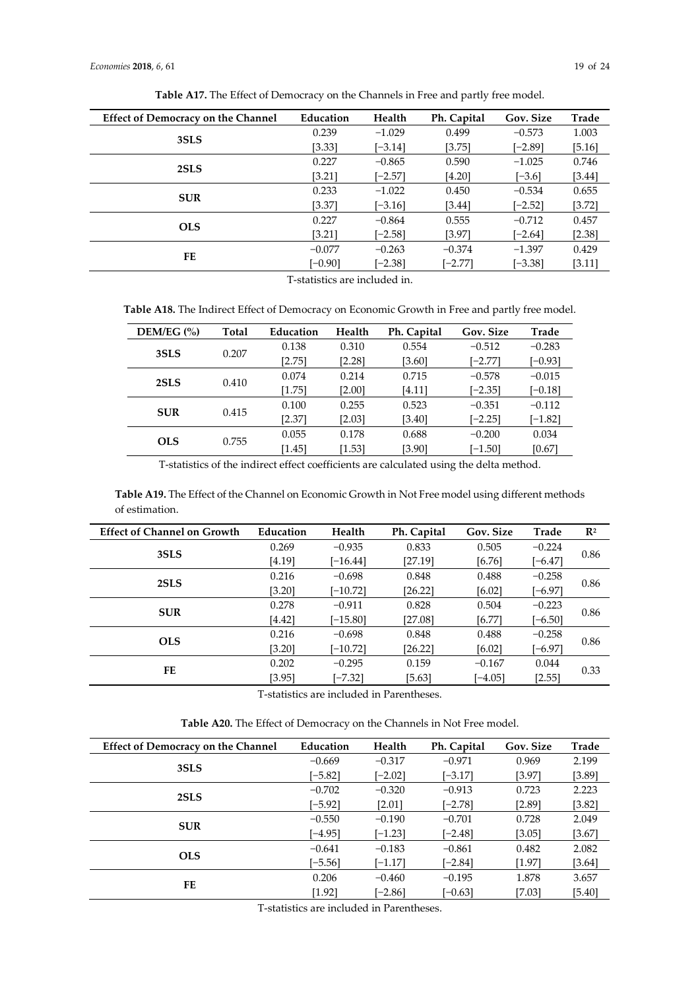| <b>Effect of Democracy on the Channel</b> | Education | Health    | Ph. Capital | Gov. Size | Trade  |
|-------------------------------------------|-----------|-----------|-------------|-----------|--------|
| 3SLS                                      | 0.239     | $-1.029$  | 0.499       | $-0.573$  | 1.003  |
|                                           | [3.33]    | $[-3.14]$ | [3.75]      | $[-2.89]$ | [5.16] |
| 2SLS                                      | 0.227     | $-0.865$  | 0.590       | $-1.025$  | 0.746  |
|                                           | [3.21]    | $[-2.57]$ | [4.20]      | $[-3.6]$  | [3.44] |
|                                           | 0.233     | $-1.022$  | 0.450       | $-0.534$  | 0.655  |
| <b>SUR</b>                                | [3.37]    | $[-3.16]$ | [3.44]      | $[-2.52]$ | [3.72] |
| <b>OLS</b>                                | 0.227     | $-0.864$  | 0.555       | $-0.712$  | 0.457  |
|                                           | [3.21]    | $[-2.58]$ | [3.97]      | $[-2.64]$ | [2.38] |
| FE                                        | $-0.077$  | $-0.263$  | $-0.374$    | $-1.397$  | 0.429  |
|                                           | $[-0.90]$ | $[-2.38]$ | $[-2.77]$   | $[-3.38]$ | [3.11] |

**Table A17.** The Effect of Democracy on the Channels in Free and partly free model.

T-statistics are included in.

**Table A18.** The Indirect Effect of Democracy on Economic Growth in Free and partly free model.

| DEM/EG $(\%$ | Total | Education | Health | Ph. Capital | Gov. Size | <b>Trade</b> |
|--------------|-------|-----------|--------|-------------|-----------|--------------|
| 3SLS         | 0.207 | 0.138     | 0.310  | 0.554       | $-0.512$  | $-0.283$     |
|              |       | [2.75]    | [2.28] | [3.60]      | $[-2.77]$ | $[-0.93]$    |
| 2SLS         | 0.410 | 0.074     | 0.214  | 0.715       | $-0.578$  | $-0.015$     |
|              |       | [1.75]    | [2.00] | [4.11]      | $[-2.35]$ | $[-0.18]$    |
| <b>SUR</b>   | 0.415 | 0.100     | 0.255  | 0.523       | $-0.351$  | $-0.112$     |
|              |       | [2.37]    | [2.03] | [3.40]      | $[-2.25]$ | $[-1.82]$    |
|              | 0.755 | 0.055     | 0.178  | 0.688       | $-0.200$  | 0.034        |
| <b>OLS</b>   |       | [1.45]    | [1.53] | [3.90]      | $[-1.50]$ | [0.67]       |

T-statistics of the indirect effect coefficients are calculated using the delta method.

**Table A19.** The Effect of the Channel on Economic Growth in Not Free model using different methods of estimation.

| <b>Effect of Channel on Growth</b> | <b>Education</b> | Health     | Ph. Capital | Gov. Size | Trade     | $\mathbb{R}^2$ |
|------------------------------------|------------------|------------|-------------|-----------|-----------|----------------|
| 3SLS                               | 0.269            | $-0.935$   | 0.833       | 0.505     | $-0.224$  | 0.86           |
|                                    | [4.19]           | $[-16.44]$ | [27.19]     | [6.76]    | $[-6.47]$ |                |
| 2SLS                               | 0.216            | $-0.698$   | 0.848       | 0.488     | $-0.258$  | 0.86           |
|                                    | [3.20]           | $[-10.72]$ | [26.22]     | [6.02]    | $[-6.97]$ |                |
|                                    | 0.278            | $-0.911$   | 0.828       | 0.504     | $-0.223$  |                |
| <b>SUR</b>                         | $[4.42]$         | $[-15.80]$ | [27.08]     | [6.77]    | $[-6.50]$ | 0.86           |
| <b>OLS</b>                         | 0.216            | $-0.698$   | 0.848       | 0.488     | $-0.258$  | 0.86           |
|                                    | [3.20]           | $[-10.72]$ | [26.22]     | [6.02]    | $[-6.97]$ |                |
| FE                                 | 0.202            | $-0.295$   | 0.159       | $-0.167$  | 0.044     | 0.33           |
|                                    | [3.95]           | $[-7.32]$  | [5.63]      | $[-4.05]$ | [2.55]    |                |

T-statistics are included in Parentheses.

**Table A20.** The Effect of Democracy on the Channels in Not Free model.

| <b>Effect of Democracy on the Channel</b> | Education | Health    | Ph. Capital | Gov. Size | Trade  |
|-------------------------------------------|-----------|-----------|-------------|-----------|--------|
| 3SLS                                      | $-0.669$  | $-0.317$  | $-0.971$    | 0.969     | 2.199  |
|                                           | $[-5.82]$ | $[-2.02]$ | $[-3.17]$   | [3.97]    | [3.89] |
| 2SLS                                      | $-0.702$  | $-0.320$  | $-0.913$    | 0.723     | 2.223  |
|                                           | $[-5.92]$ | [2.01]    | $[-2.78]$   | [2.89]    | [3.82] |
| <b>SUR</b>                                | $-0.550$  | $-0.190$  | $-0.701$    | 0.728     | 2.049  |
|                                           | $[-4.95]$ | $[-1.23]$ | $[-2.48]$   | [3.05]    | [3.67] |
| <b>OLS</b>                                | $-0.641$  | $-0.183$  | $-0.861$    | 0.482     | 2.082  |
|                                           | $[-5.56]$ | $[-1.17]$ | $[-2.84]$   | [1.97]    | [3.64] |
| FE                                        | 0.206     | $-0.460$  | $-0.195$    | 1.878     | 3.657  |
|                                           | [1.92]    | $[-2.86]$ | $[-0.63]$   | [7.03]    | [5.40] |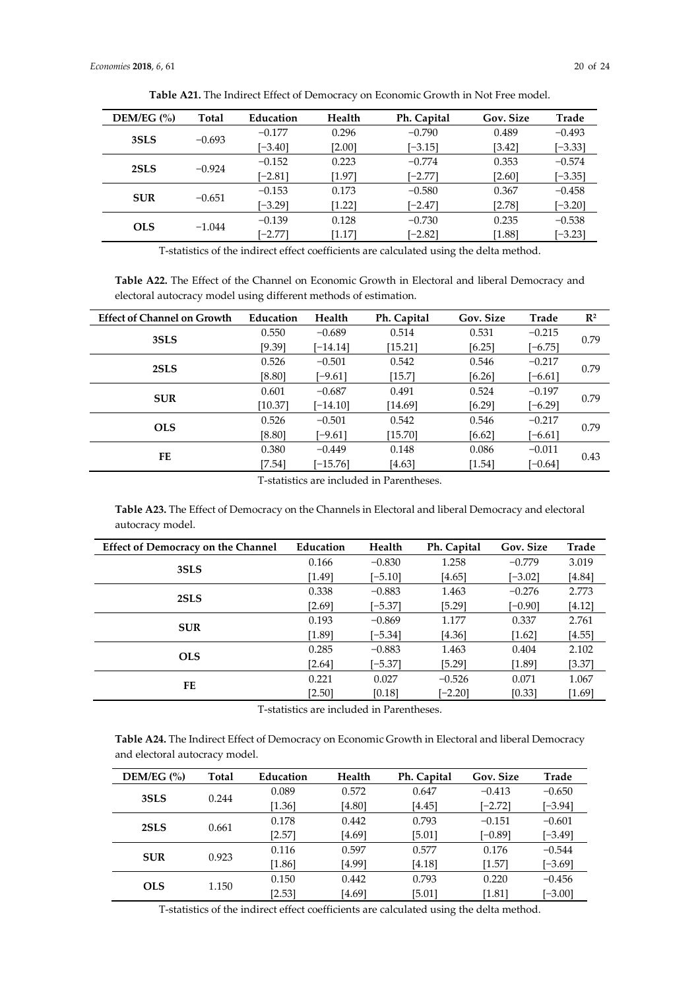| DEM/EG $(%)$ | Total    | Education | <b>Health</b> | Ph. Capital | Gov. Size | Trade     |
|--------------|----------|-----------|---------------|-------------|-----------|-----------|
|              | $-0.693$ | $-0.177$  | 0.296         | $-0.790$    | 0.489     | $-0.493$  |
| 3SLS         |          | $[-3.40]$ | [2.00]        | $[-3.15]$   | [3.42]    | [–3.33]   |
| 2SLS         | $-0.924$ | $-0.152$  | 0.223         | $-0.774$    | 0.353     | $-0.574$  |
|              |          | $[-2.81]$ | [1.97]        | $[-2.77]$   | [2.60]    | $[-3.35]$ |
| <b>SUR</b>   | $-0.651$ | $-0.153$  | 0.173         | $-0.580$    | 0.367     | $-0.458$  |
|              |          | [–3.29]   | [1.22]        | $[-2.47]$   | [2.78]    | $[-3.20]$ |
| <b>OLS</b>   | $-1.044$ | $-0.139$  | 0.128         | $-0.730$    | 0.235     | $-0.538$  |
|              |          | $[-2.77]$ | [1.17]        | $[-2.82]$   | [1.88]    | $[-3.23]$ |

**Table A21.** The Indirect Effect of Democracy on Economic Growth in Not Free model.

T-statistics of the indirect effect coefficients are calculated using the delta method.

**Table A22.** The Effect of the Channel on Economic Growth in Electoral and liberal Democracy and electoral autocracy model using different methods of estimation.

| <b>Effect of Channel on Growth</b> | Education | Health     | Ph. Capital | Gov. Size | Trade     | $\mathbb{R}^2$ |
|------------------------------------|-----------|------------|-------------|-----------|-----------|----------------|
| 3SLS                               | 0.550     | $-0.689$   | 0.514       | 0.531     | $-0.215$  | 0.79           |
|                                    | [9.39]    | [-14.14]   | [15.21]     | [6.25]    | $[-6.75]$ |                |
| 2SLS                               | 0.526     | $-0.501$   | 0.542       | 0.546     | $-0.217$  | 0.79           |
|                                    | [8.80]    | $[-9.61]$  | [15.7]      | [6.26]    | $[-6.61]$ |                |
| <b>SUR</b>                         | 0.601     | $-0.687$   | 0.491       | 0.524     | $-0.197$  | 0.79           |
|                                    | [10.37]   | [–14.10]   | [14.69]     | [6.29]    | $[-6.29]$ |                |
|                                    | 0.526     | $-0.501$   | 0.542       | 0.546     | $-0.217$  | 0.79           |
| <b>OLS</b>                         | [8.80]    | $[-9.61]$  | [15.70]     | [6.62]    | $[-6.61]$ |                |
| FE                                 | 0.380     | $-0.449$   | 0.148       | 0.086     | $-0.011$  |                |
|                                    | [7.54]    | $[-15.76]$ | [4.63]      | [1.54]    | $[-0.64]$ | 0.43           |

T-statistics are included in Parentheses.

**Table A23.** The Effect of Democracy on the Channels in Electoral and liberal Democracy and electoral autocracy model.

| <b>Effect of Democracy on the Channel</b> | <b>Education</b> | Health    | Ph. Capital | Gov. Size | Trade    |
|-------------------------------------------|------------------|-----------|-------------|-----------|----------|
| 3SLS                                      | 0.166            | $-0.830$  | 1.258       | $-0.779$  | 3.019    |
|                                           | [1.49]           | $[-5.10]$ | [4.65]      | $[-3.02]$ | [4.84]   |
| 2SLS                                      | 0.338            | $-0.883$  | 1.463       | $-0.276$  | 2.773    |
|                                           | [2.69]           | $[-5.37]$ | [5.29]      | $[-0.90]$ | [4.12]   |
| <b>SUR</b>                                | 0.193            | $-0.869$  | 1.177       | 0.337     | 2.761    |
|                                           | [1.89]           | [-5.34]   | [4.36]      | [1.62]    | [4.55]   |
| <b>OLS</b>                                | 0.285            | $-0.883$  | 1.463       | 0.404     | 2.102    |
|                                           | [2.64]           | [-5.37]   | [5.29]      | [1.89]    | [3.37]   |
|                                           | 0.221            | 0.027     | $-0.526$    | 0.071     | 1.067    |
| FE                                        | [2.50]           | [0.18]    | $[-2.20]$   | [0.33]    | $[1.69]$ |
| ___                                       |                  | .         |             |           |          |

T-statistics are included in Parentheses.

|                                |  | Table A24. The Indirect Effect of Democracy on Economic Growth in Electoral and liberal Democracy |  |
|--------------------------------|--|---------------------------------------------------------------------------------------------------|--|
| and electoral autocracy model. |  |                                                                                                   |  |

| DEM/EG $(%)$ | Total | Education | Health | Ph. Capital | Gov. Size | <b>Trade</b> |
|--------------|-------|-----------|--------|-------------|-----------|--------------|
|              | 0.244 | 0.089     | 0.572  | 0.647       | $-0.413$  | $-0.650$     |
| 3SLS         |       | [1.36]    | [4.80] | [4.45]      | $[-2.72]$ | $[-3.94]$    |
|              |       | 0.178     | 0.442  | 0.793       | $-0.151$  | $-0.601$     |
| 2SLS         | 0.661 | [2.57]    | [4.69] | [5.01]      | $[-0.89]$ | [–3.49]      |
|              |       | 0.116     | 0.597  | 0.577       | 0.176     | $-0.544$     |
| <b>SUR</b>   | 0.923 | [1.86]    | [4.99] | [4.18]      | $[1.57]$  | $[-3.69]$    |
| <b>OLS</b>   |       | 0.150     | 0.442  | 0.793       | 0.220     | $-0.456$     |
|              | 1.150 | [2.53]    | [4.69] | [5.01]      | [1.81]    | $[-3.00]$    |

T-statistics of the indirect effect coefficients are calculated using the delta method.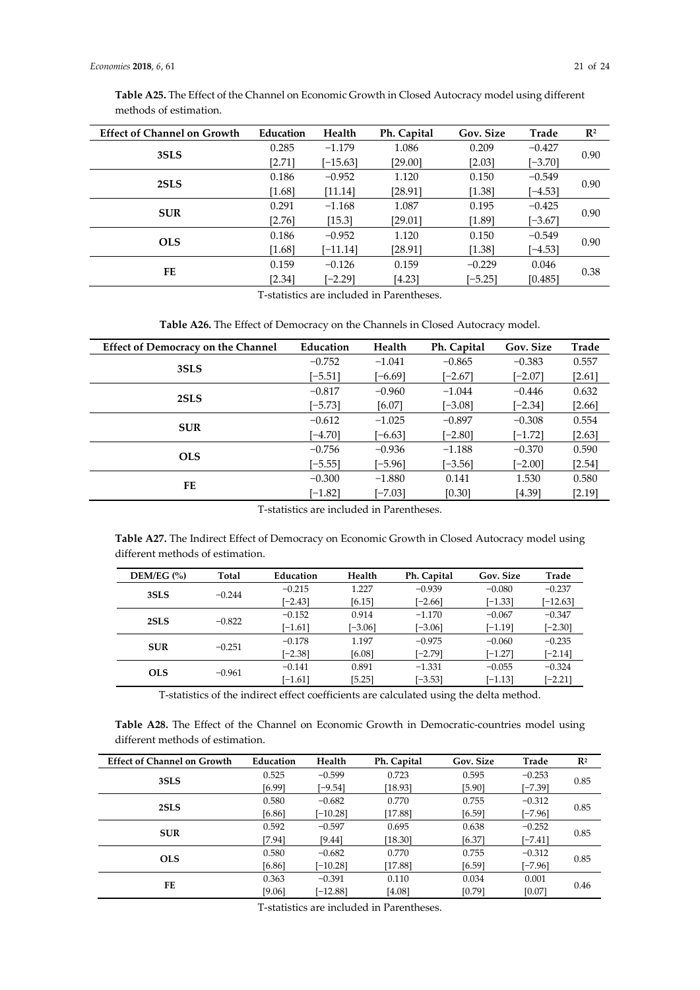**Table A25.** The Effect of the Channel on Economic Growth in Closed Autocracy model using different methods of estimation.

| <b>Effect of Channel on Growth</b> | Education | Health     | Ph. Capital | Gov. Size | Trade     | $\mathbb{R}^2$ |
|------------------------------------|-----------|------------|-------------|-----------|-----------|----------------|
| 3SLS                               | 0.285     | $-1.179$   | 1.086       | 0.209     | $-0.427$  | 0.90           |
|                                    | [2.71]    | $[-15.63]$ | [29.00]     | [2.03]    | $[-3.70]$ |                |
|                                    | 0.186     | $-0.952$   | 1.120       | 0.150     | $-0.549$  | 0.90           |
| 2SLS                               | [1.68]    | [11.14]    | [28.91]     | [1.38]    | $[-4.53]$ |                |
| <b>SUR</b>                         | 0.291     | $-1.168$   | 1.087       | 0.195     | $-0.425$  | 0.90           |
|                                    | [2.76]    | [15.3]     | [29.01]     | [1.89]    | $[-3.67]$ |                |
| <b>OLS</b>                         | 0.186     | $-0.952$   | 1.120       | 0.150     | $-0.549$  | 0.90           |
|                                    | [1.68]    | [-11.14]   | [28.91]     | [1.38]    | $[-4.53]$ |                |
|                                    | 0.159     | $-0.126$   | 0.159       | $-0.229$  | 0.046     | 0.38           |
| FE                                 | [2.34]    | $[-2.29]$  | [4.23]      | $[-5.25]$ | [0.485]   |                |
|                                    |           |            |             |           |           |                |

T-statistics are included in Parentheses.

| Table A26. The Effect of Democracy on the Channels in Closed Autocracy model. |  |  |  |
|-------------------------------------------------------------------------------|--|--|--|
|-------------------------------------------------------------------------------|--|--|--|

| <b>Effect of Democracy on the Channel</b> | <b>Education</b> | Health    | Ph. Capital | Gov. Size | Trade    |
|-------------------------------------------|------------------|-----------|-------------|-----------|----------|
| 3SLS                                      | $-0.752$         | $-1.041$  | $-0.865$    | $-0.383$  | 0.557    |
|                                           | $[-5.51]$        | $[-6.69]$ | $[-2.67]$   | $[-2.07]$ | [2.61]   |
| 2SLS                                      | $-0.817$         | $-0.960$  | $-1.044$    | $-0.446$  | 0.632    |
|                                           | $[-5.73]$        | [6.07]    | $[-3.08]$   | $[-2.34]$ | $[2.66]$ |
| <b>SUR</b>                                | $-0.612$         | $-1.025$  | $-0.897$    | $-0.308$  | 0.554    |
|                                           | $[-4.70]$        | $[-6.63]$ | $[-2.80]$   | $[-1.72]$ | [2.63]   |
| <b>OLS</b>                                | $-0.756$         | $-0.936$  | $-1.188$    | $-0.370$  | 0.590    |
|                                           | $[-5.55]$        | $[-5.96]$ | $[-3.56]$   | $[-2.00]$ | [2.54]   |
| FE                                        | $-0.300$         | $-1.880$  | 0.141       | 1.530     | 0.580    |
|                                           | $[-1.82]$        | $[-7.03]$ | [0.30]      | [4.39]    | [2.19]   |

T-statistics are included in Parentheses.

**Table A27.** The Indirect Effect of Democracy on Economic Growth in Closed Autocracy model using different methods of estimation.

| DEM/EG $(%)$ | Total    | Education | Health    | Ph. Capital | Gov. Size | Trade      |
|--------------|----------|-----------|-----------|-------------|-----------|------------|
| 3SLS         |          | $-0.215$  | 1.227     | $-0.939$    | $-0.080$  | $-0.237$   |
|              | $-0.244$ | $[-2.43]$ | [6.15]    | $[-2.66]$   | $[-1.33]$ | $[-12.63]$ |
| 2SLS         | $-0.822$ | $-0.152$  | 0.914     | $-1.170$    | $-0.067$  | $-0.347$   |
|              |          | $[-1.61]$ | $[-3.06]$ | $[-3.06]$   | $[-1.19]$ | $[-2.30]$  |
|              |          | $-0.178$  | 1.197     | $-0.975$    | $-0.060$  | $-0.235$   |
| <b>SUR</b>   | $-0.251$ | $[-2.38]$ | [6.08]    | $[-2.79]$   | $[-1.27]$ | $[-2.14]$  |
|              |          | $-0.141$  | 0.891     | $-1.331$    | $-0.055$  | $-0.324$   |
| <b>OLS</b>   | $-0.961$ | $[-1.61]$ | [5.25]    | $[-3.53]$   | $[-1.13]$ | $[-2.21]$  |

T-statistics of the indirect effect coefficients are calculated using the delta method.

**Table A28.** The Effect of the Channel on Economic Growth in Democratic-countries model using different methods of estimation.

| <b>Effect of Channel on Growth</b> | <b>Education</b> | Health     | Ph. Capital | Gov. Size | Trade     | $\mathbb{R}^2$ |
|------------------------------------|------------------|------------|-------------|-----------|-----------|----------------|
| 3SLS                               | 0.525            | $-0.599$   | 0.723       | 0.595     | $-0.253$  | 0.85           |
|                                    | [6.99]           | $[-9.54]$  | [18.93]     | [5.90]    | $[-7.39]$ |                |
| 2SLS                               | 0.580            | $-0.682$   | 0.770       | 0.755     | $-0.312$  |                |
|                                    | $[6.86]$         | $-10.28$ ] | [17.88]     | [6.59]    | $[-7.96]$ | 0.85           |
|                                    | 0.592            | $-0.597$   | 0.695       | 0.638     | $-0.252$  |                |
| <b>SUR</b>                         | [7.94]           | [9.44]     | [18.30]     | [6.37]    | $[-7.41]$ | 0.85           |
|                                    | 0.580            | $-0.682$   | 0.770       | 0.755     | $-0.312$  |                |
| <b>OLS</b>                         | [6.86]           | $[-10.28]$ | [17.88]     | [6.59]    | $[-7.96]$ | 0.85           |
|                                    | 0.363            | $-0.391$   | 0.110       | 0.034     | 0.001     |                |
| FE                                 | [9.06]           | $-12.88$ ] | [4.08]      | [0.79]    | [0.07]    | 0.46           |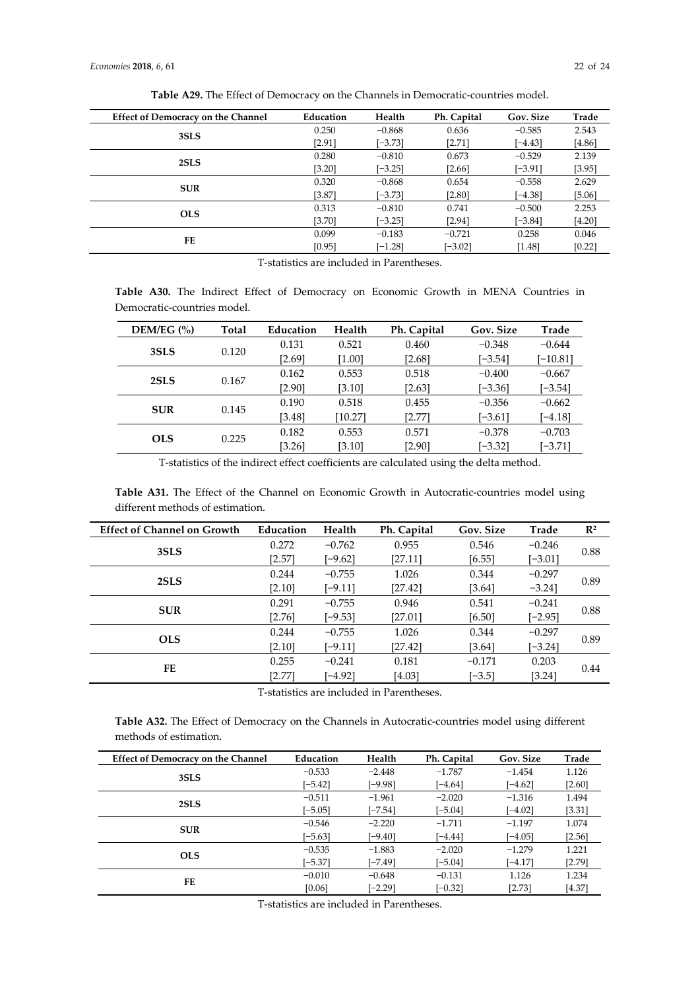| <b>Effect of Democracy on the Channel</b> | Education | Health    | Ph. Capital | Gov. Size | Trade  |
|-------------------------------------------|-----------|-----------|-------------|-----------|--------|
|                                           | 0.250     | $-0.868$  | 0.636       | $-0.585$  | 2.543  |
| 3SLS                                      | [2.91]    | $[-3.73]$ | [2.71]      | $[-4.43]$ | [4.86] |
| 2SLS                                      | 0.280     | $-0.810$  | 0.673       | $-0.529$  | 2.139  |
|                                           | [3.20]    | $[-3.25]$ | [2.66]      | $[-3.91]$ | [3.95] |
| <b>SUR</b>                                | 0.320     | $-0.868$  | 0.654       | $-0.558$  | 2.629  |
|                                           | [3.87]    | $[-3.73]$ | [2.80]      | $[-4.38]$ | [5.06] |
| <b>OLS</b>                                | 0.313     | $-0.810$  | 0.741       | $-0.500$  | 2.253  |
|                                           | [3.70]    | $[-3.25]$ | [2.94]      | $[-3.84]$ | [4.20] |
| FE                                        | 0.099     | $-0.183$  | $-0.721$    | 0.258     | 0.046  |
|                                           | [0.95]    | $[-1.28]$ | $[-3.02]$   | $[1.48]$  | [0.22] |

**Table A29.** The Effect of Democracy on the Channels in Democratic-countries model.

**Table A30.** The Indirect Effect of Democracy on Economic Growth in MENA Countries in Democratic-countries model.

| DEM/EG $(%)$ | Total | Education | Health    | Ph. Capital | Gov. Size | Trade      |
|--------------|-------|-----------|-----------|-------------|-----------|------------|
| 3SLS         | 0.120 | 0.131     | 0.521     | 0.460       | $-0.348$  | $-0.644$   |
|              |       | [2.69]    | [1.00]    | $[2.68]$    | $[-3.54]$ | $[-10.81]$ |
| 2SLS         | 0.167 | 0.162     | 0.553     | 0.518       | $-0.400$  | $-0.667$   |
|              |       | [2.90]    | [3.10]    | [2.63]      | $[-3.36]$ | $[-3.54]$  |
| <b>SUR</b>   | 0.145 | 0.190     | 0.518     | 0.455       | $-0.356$  | $-0.662$   |
|              |       | [3.48]    | $[10.27]$ | [2.77]      | $[-3.61]$ | $[-4.18]$  |
| <b>OLS</b>   |       | 0.182     | 0.553     | 0.571       | $-0.378$  | $-0.703$   |
|              | 0.225 | [3.26]    | [3.10]    | [2.90]      | [–3.32]   | [-3.71]    |

T-statistics of the indirect effect coefficients are calculated using the delta method.

**Table A31.** The Effect of the Channel on Economic Growth in Autocratic-countries model using different methods of estimation.

| <b>Effect of Channel on Growth</b> | <b>Education</b> | Health    | Ph. Capital | Gov. Size | Trade     | $\mathbf{R}^2$ |
|------------------------------------|------------------|-----------|-------------|-----------|-----------|----------------|
| 3SLS                               | 0.272            | $-0.762$  | 0.955       | 0.546     | $-0.246$  | 0.88           |
|                                    | [2.57]           | $[-9.62]$ | [27.11]     | [6.55]    | $[-3.01]$ |                |
| 2SLS                               | 0.244            | $-0.755$  | 1.026       | 0.344     | $-0.297$  | 0.89           |
|                                    | [2.10]           | $[-9.11]$ | [27.42]     | [3.64]    | $-3.24$ ] |                |
| <b>SUR</b>                         | 0.291            | $-0.755$  | 0.946       | 0.541     | $-0.241$  | 0.88           |
|                                    | [2.76]           | [-9.53]   | [27.01]     | [6.50]    | $[-2.95]$ |                |
| <b>OLS</b>                         | 0.244            | $-0.755$  | 1.026       | 0.344     | $-0.297$  | 0.89           |
|                                    | [2.10]           | $[-9.11]$ | [27.42]     | [3.64]    | $[-3.24]$ |                |
| FE                                 | 0.255            | $-0.241$  | 0.181       | $-0.171$  | 0.203     | 0.44           |
|                                    | [2.77]           | $[-4.92]$ | [4.03]      | $[-3.5]$  | [3.24]    |                |

T-statistics are included in Parentheses.

**Table A32.** The Effect of Democracy on the Channels in Autocratic-countries model using different methods of estimation.

| <b>Effect of Democracy on the Channel</b> | Education | Health    | Ph. Capital | Gov. Size | Trade  |
|-------------------------------------------|-----------|-----------|-------------|-----------|--------|
| 3SLS                                      | $-0.533$  | $-2.448$  | $-1.787$    | $-1.454$  | 1.126  |
|                                           | [-5.42]   | $[-9.98]$ | $[-4.64]$   | $[-4.62]$ | [2.60] |
| 2SLS                                      | $-0.511$  | $-1.961$  | $-2.020$    | $-1.316$  | 1.494  |
|                                           | $[-5.05]$ | $[-7.54]$ | $[-5.04]$   | $[-4.02]$ | [3.31] |
| <b>SUR</b>                                | $-0.546$  | $-2.220$  | $-1.711$    | $-1.197$  | 1.074  |
|                                           | $[-5.63]$ | $[-9.40]$ | $[-4.44]$   | $[-4.05]$ | [2.56] |
| <b>OLS</b>                                | $-0.535$  | $-1.883$  | $-2.020$    | $-1.279$  | 1.221  |
|                                           | [-5.37]   | [–7.49]   | $[-5.04]$   | $[-4.17]$ | [2.79] |
| FE                                        | $-0.010$  | $-0.648$  | $-0.131$    | 1.126     | 1.234  |
|                                           | [0.06]    | $[-2.29]$ | $[-0.32]$   | [2.73]    | [4.37] |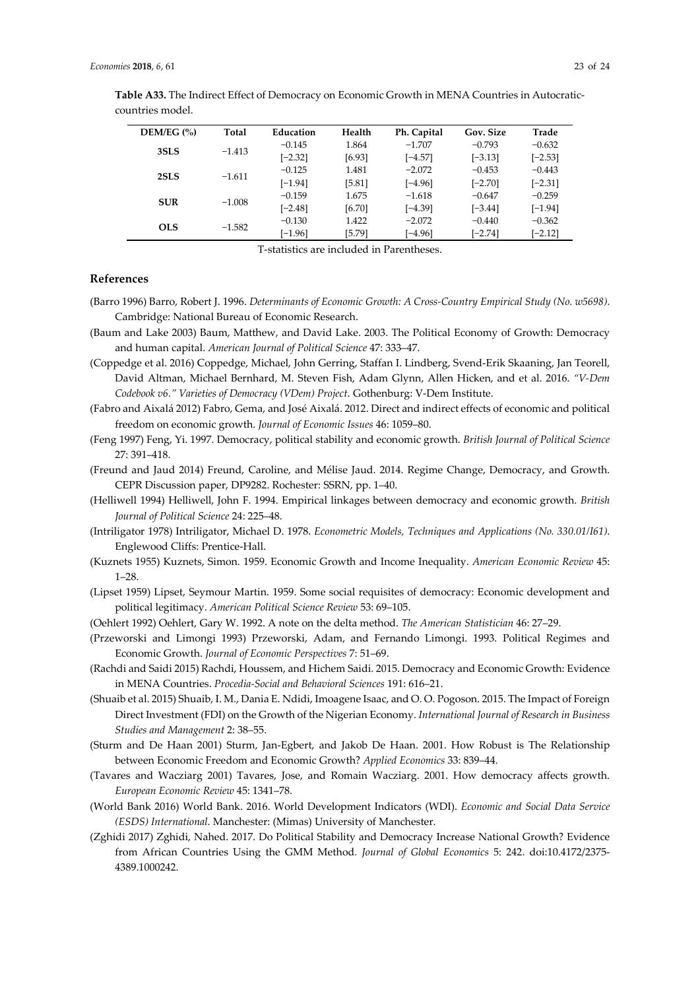| DEM/EG $(%)$ | Total    | Education | Health | Ph. Capital | Gov. Size | Trade     |
|--------------|----------|-----------|--------|-------------|-----------|-----------|
| 3SLS         | $-1.413$ | $-0.145$  | 1.864  | $-1.707$    | $-0.793$  | $-0.632$  |
|              |          | $[-2.32]$ | [6.93] | $[-4.57]$   | $[-3.13]$ | $[-2.53]$ |
| 2SLS         | $-1.611$ | $-0.125$  | 1.481  | $-2.072$    | $-0.453$  | $-0.443$  |
|              |          | $[-1.94]$ | [5.81] | $[-4.96]$   | $[-2.70]$ | $[-2.31]$ |
| <b>SUR</b>   | $-1.008$ | $-0.159$  | 1.675  | $-1.618$    | $-0.647$  | $-0.259$  |
|              |          | $[-2.48]$ | [6.70] | $[-4.39]$   | $[-3.44]$ | $[-1.94]$ |
| <b>OLS</b>   | $-1.582$ | $-0.130$  | 1.422  | $-2.072$    | $-0.440$  | $-0.362$  |
|              |          | $[-1.96]$ | [5.79] | [–4.96]     | $[-2.74]$ | $[-2.12]$ |

**Table A33.** The Indirect Effect of Democracy on Economic Growth in MENA Countries in Autocraticcountries model.

T-statistics are included in Parentheses.

# **References**

- (Barro 1996) Barro, Robert J. 1996. *Determinants of Economic Growth: A Cross-Country Empirical Study (No. w5698)*. Cambridge: National Bureau of Economic Research.
- (Baum and Lake 2003) Baum, Matthew, and David Lake. 2003. The Political Economy of Growth: Democracy and human capital. *American Journal of Political Science* 47: 333–47.
- (Coppedge et al. 2016) Coppedge, Michael, John Gerring, Staffan I. Lindberg, Svend-Erik Skaaning, Jan Teorell, David Altman, Michael Bernhard, M. Steven Fish, Adam Glynn, Allen Hicken, and et al. 2016. *"V-Dem Codebook v6." Varieties of Democracy (VDem) Project*. Gothenburg: V-Dem Institute.
- (Fabro and Aixalá 2012) Fabro, Gema, and José Aixalá. 2012. Direct and indirect effects of economic and political freedom on economic growth. *Journal of Economic Issues* 46: 1059–80.
- (Feng 1997) Feng, Yi. 1997. Democracy, political stability and economic growth. *British Journal of Political Science* 27: 391–418.

(Freund and Jaud 2014) Freund, Caroline, and Mélise Jaud. 2014. Regime Change, Democracy, and Growth. CEPR Discussion paper, DP9282. Rochester: SSRN, pp. 1–40.

(Helliwell 1994) Helliwell, John F. 1994. Empirical linkages between democracy and economic growth. *British Journal of Political Science* 24: 225–48.

(Intriligator 1978) Intriligator, Michael D. 1978. *Econometric Models, Techniques and Applications (No. 330.01/I61)*. Englewood Cliffs: Prentice-Hall.

- (Kuznets 1955) Kuznets, Simon. 1959. Economic Growth and Income Inequality. *American Economic Review* 45: 1–28.
- (Lipset 1959) Lipset, Seymour Martin. 1959. Some social requisites of democracy: Economic development and political legitimacy. *American Political Science Review* 53: 69–105.
- (Oehlert 1992) Oehlert, Gary W. 1992. A note on the delta method. *The American Statistician* 46: 27–29.
- (Przeworski and Limongi 1993) Przeworski, Adam, and Fernando Limongi. 1993. Political Regimes and Economic Growth. *Journal of Economic Perspectives* 7: 51–69.

(Rachdi and Saidi 2015) Rachdi, Houssem, and Hichem Saidi. 2015. Democracy and Economic Growth: Evidence in MENA Countries. *Procedia-Social and Behavioral Sciences* 191: 616–21.

- (Shuaib et al. 2015) Shuaib, I. M., Dania E. Ndidi, Imoagene Isaac, and O. O. Pogoson. 2015. The Impact of Foreign Direct Investment (FDI) on the Growth of the Nigerian Economy. *International Journal of Research in Business Studies and Management* 2: 38–55.
- (Sturm and De Haan 2001) Sturm, Jan-Egbert, and Jakob De Haan. 2001. How Robust is The Relationship between Economic Freedom and Economic Growth? *Applied Economics* 33: 839–44.
- (Tavares and Wacziarg 2001) Tavares, Jose, and Romain Wacziarg. 2001. How democracy affects growth. *European Economic Review* 45: 1341–78.
- (World Bank 2016) World Bank. 2016. World Development Indicators (WDI). *Economic and Social Data Service (ESDS) International*. Manchester: (Mimas) University of Manchester.
- (Zghidi 2017) Zghidi, Nahed. 2017. Do Political Stability and Democracy Increase National Growth? Evidence from African Countries Using the GMM Method*. Journal of Global Economics* 5: 242. doi:10.4172/2375- 4389.1000242.